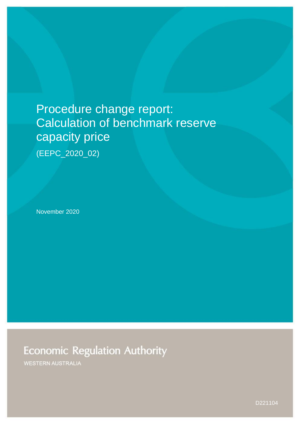# Procedure change report: Calculation of benchmark reserve capacity price

(EEPC\_2020\_02)

November 2020

**Economic Regulation Authority** 

**WESTERN AUSTRALIA** 

D221104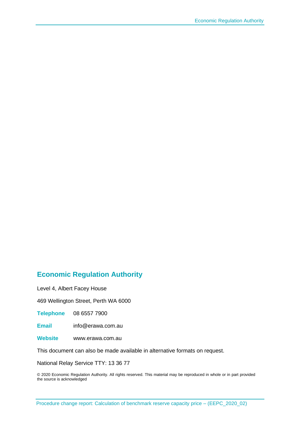# **Economic Regulation Authority**

Level 4, Albert Facey House

469 Wellington Street, Perth WA 6000

**Telephone** 08 6557 7900

**Email** info@erawa.com.au

**Website** www.erawa.com.au

This document can also be made available in alternative formats on request.

National Relay Service TTY: 13 36 77

© 2020 Economic Regulation Authority. All rights reserved. This material may be reproduced in whole or in part provided the source is acknowledged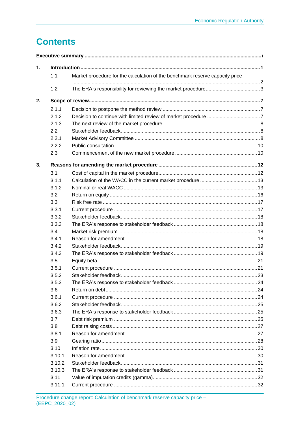İ

# **Contents**

| 1. |        |                                                                              |  |  |  |
|----|--------|------------------------------------------------------------------------------|--|--|--|
|    | 1.1    | Market procedure for the calculation of the benchmark reserve capacity price |  |  |  |
|    | 1.2    |                                                                              |  |  |  |
| 2. |        |                                                                              |  |  |  |
|    | 2.1.1  |                                                                              |  |  |  |
|    | 2.1.2  |                                                                              |  |  |  |
|    | 2.1.3  |                                                                              |  |  |  |
|    | 2.2    |                                                                              |  |  |  |
|    | 2.2.1  |                                                                              |  |  |  |
|    | 2.2.2  |                                                                              |  |  |  |
|    | 2.3    |                                                                              |  |  |  |
| 3. |        |                                                                              |  |  |  |
|    | 3.1    |                                                                              |  |  |  |
|    | 3.1.1  |                                                                              |  |  |  |
|    | 3.1.2  |                                                                              |  |  |  |
|    | 3.2    |                                                                              |  |  |  |
|    | 3.3    |                                                                              |  |  |  |
|    | 3.3.1  |                                                                              |  |  |  |
|    | 3.3.2  |                                                                              |  |  |  |
|    | 3.3.3  |                                                                              |  |  |  |
|    | 3.4    |                                                                              |  |  |  |
|    | 3.4.1  |                                                                              |  |  |  |
|    | 3.4.2  |                                                                              |  |  |  |
|    | 3.4.3  |                                                                              |  |  |  |
|    | 3.5    |                                                                              |  |  |  |
|    | 3.5.1  |                                                                              |  |  |  |
|    | 3.5.2  |                                                                              |  |  |  |
|    | 3.5.3  |                                                                              |  |  |  |
|    | 3.6    |                                                                              |  |  |  |
|    | 3.6.1  |                                                                              |  |  |  |
|    | 3.6.2  |                                                                              |  |  |  |
|    | 3.6.3  |                                                                              |  |  |  |
|    | 3.7    |                                                                              |  |  |  |
|    | 3.8    |                                                                              |  |  |  |
|    | 3.8.1  |                                                                              |  |  |  |
|    | 3.9    |                                                                              |  |  |  |
|    | 3.10   |                                                                              |  |  |  |
|    | 3.10.1 |                                                                              |  |  |  |
|    | 3.10.2 |                                                                              |  |  |  |
|    | 3.10.3 |                                                                              |  |  |  |
|    | 3.11   |                                                                              |  |  |  |
|    | 3.11.1 |                                                                              |  |  |  |
|    |        |                                                                              |  |  |  |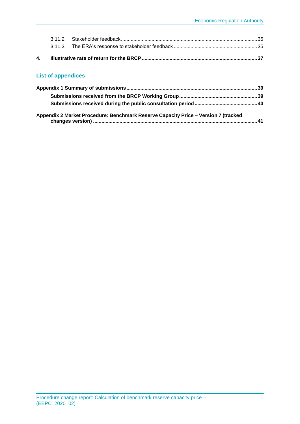|  | 4.  Illustrative rate of return for the BRCP ………………………………………………………………………………………37 |  |
|--|----------------------------------------------------------------------------------|--|
|  |                                                                                  |  |
|  |                                                                                  |  |

#### **List of appendices**

| Appendix 2 Market Procedure: Benchmark Reserve Capacity Price - Version 7 (tracked |  |
|------------------------------------------------------------------------------------|--|
|                                                                                    |  |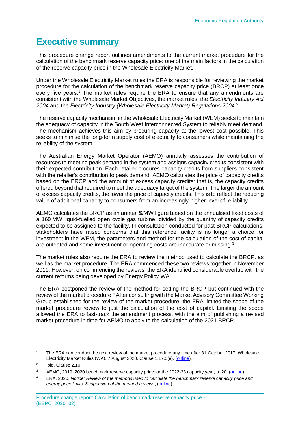# <span id="page-4-0"></span>**Executive summary**

This procedure change report outlines amendments to the current market procedure for the calculation of the benchmark reserve capacity price: one of the main factors in the calculation of the reserve capacity price in the Wholesale Electricity Market.

Under the Wholesale Electricity Market rules the ERA is responsible for reviewing the market procedure for the calculation of the benchmark reserve capacity price (BRCP) at least once every five years.<sup>1</sup> The market rules require the ERA to ensure that any amendments are consistent with the Wholesale Market Objectives, the market rules, the *Electricity Industry Act 2004* and the *Electricity Industry (Wholesale Electricity Market) Regulations 2004*. 2

The reserve capacity mechanism in the Wholesale Electricity Market (WEM) seeks to maintain the adequacy of capacity in the South West Interconnected System to reliably meet demand. The mechanism achieves this aim by procuring capacity at the lowest cost possible. This seeks to minimise the long-term supply cost of electricity to consumers while maintaining the reliability of the system.

The Australian Energy Market Operator (AEMO) annually assesses the contribution of resources to meeting peak demand in the system and assigns capacity credits consistent with their expected contribution. Each retailer procures capacity credits from suppliers consistent with the retailer's contribution to peak demand. AEMO calculates the price of capacity credits based on the BRCP and the amount of excess capacity credits: that is, the capacity credits offered beyond that required to meet the adequacy target of the system. The larger the amount of excess capacity credits, the lower the price of capacity credits. This is to reflect the reducing value of additional capacity to consumers from an increasingly higher level of reliability.

AEMO calculates the BRCP as an annual \$/MW figure based on the annualised fixed costs of a 160 MW liquid-fuelled open cycle gas turbine, divided by the quantity of capacity credits expected to be assigned to the facility. In consultation conducted for past BRCP calculations, stakeholders have raised concerns that this reference facility is no longer a choice for investment in the WEM, the parameters and method for the calculation of the cost of capital are outdated and some investment or operating costs are inaccurate or missing.<sup>3</sup>

The market rules also require the ERA to review the method used to calculate the BRCP, as well as the market procedure. The ERA commenced these two reviews together in November 2019. However, on commencing the reviews, the ERA identified considerable overlap with the current reforms being developed by Energy Policy WA.

The ERA postponed the review of the method for setting the BRCP but continued with the review of the market procedure.<sup>4</sup> After consulting with the Market Advisory Committee Working Group established for the review of the market procedure, the ERA limited the scope of the market procedure review to just the calculation of the cost of capital. Limiting the scope allowed the ERA to fast-track the amendment process, with the aim of publishing a revised market procedure in time for AEMO to apply to the calculation of the 2021 BRCP.

<sup>&</sup>lt;sup>1</sup> The ERA can conduct the next review of the market procedure any time after 31 October 2017. Wholesale Electricity Market Rules (WA), 7 August 2020, Clause 1.17.5(e), [\(online\)](https://www.erawa.com.au/cproot/21394/2/Wholesale-Electricity-Market-Rules-7-August-2020.pdf).

 $\overline{2}$ Ibid, Clause 2.10.

<sup>&</sup>lt;sup>3</sup> AEMO, 2019, 2020 benchmark reserve capacity price for the 2022-23 capacity year, p. 20, [\(online\)](https://aemo.com.au/-/media/files/electricity/wem/reserve_capacity_mechanism/brcp/2020/final-report/final-report---benchmark-reserve-capacity-price-for-the-2022-23-capacity-year.pdf?la=en&hash=01DBBEC4291877CDA51EC016432D181A).

<sup>4</sup> ERA, 2020, *Notice: Review of the methods used to calculate the benchmark reserve capacity price and energy price limits, Suspension of the method reviews*, [\(online\)](https://www.erawa.com.au/cproot/21237/2/NOTICE---Suspension-of-BRCPEPL-method-reviews.pdf).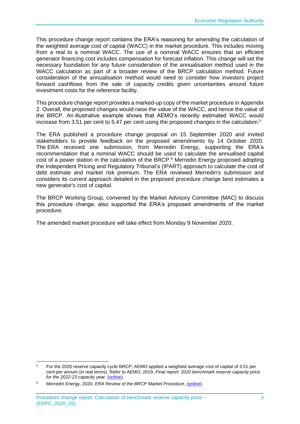This procedure change report contains the ERA's reasoning for amending the calculation of the weighted average cost of capital (WACC) in the market procedure. This includes moving from a real to a nominal WACC. The use of a nominal WACC ensures that an efficient generator financing cost includes compensation for forecast inflation. This change will set the necessary foundation for any future consideration of the annualisation method used in the WACC calculation as part of a broader review of the BRCP calculation method. Future consideration of the annualisation method would need to consider how investors project forward cashflows from the sale of capacity credits given uncertainties around future investment costs for the reference facility.

This procedure change report provides a marked-up copy of the market procedure i[n Appendix](#page-46-0)  [2.](#page-46-0) Overall, the proposed changes would raise the value of the WACC, and hence the value of the BRCP. An illustrative example shows that AEMO's recently estimated WACC would increase from 3.51 per cent to 5.47 per cent using the proposed changes in the calculation.<sup>5</sup>

The ERA published a procedure change proposal on 15 September 2020 and invited stakeholders to provide feedback on the proposed amendments by 14 October 2020. The ERA received one submission, from Merredin Energy, supporting the ERA's recommendation that a nominal WACC should be used to calculate the annualised capital cost of a power station in the calculation of the BRCP. $6$  Merredin Energy proposed adopting the Independent Pricing and Regulatory Tribunal's (IPART) approach to calculate the cost of debt estimate and market risk premium. The ERA reviewed Merredin's submission and considers its current approach detailed in the proposed procedure change best estimates a new generator's cost of capital.

The BRCP Working Group, convened by the Market Advisory Committee (MAC) to discuss this procedure change, also supported the ERA's proposed amendments of the market procedure.

The amended market procedure will take effect from Monday 9 November 2020.

<sup>5</sup> For the 2020 reserve capacity cycle BRCP, AEMO applied a weighted average cost of capital of 3.51 per cent per annum (in real terms). Refer to AEMO, 2019, *Final report: 2020 benchmark reserve capacity price for the 2022-23 capacity year*, [\(online\)](https://aemo.com.au/-/media/files/electricity/wem/reserve_capacity_mechanism/brcp/2020/final-report/final-report---benchmark-reserve-capacity-price-for-the-2022-23-capacity-year.pdf?la=en&hash=01DBBEC4291877CDA51EC016432D181A).

<sup>&</sup>lt;sup>6</sup> Merredin Energy, 2020, *ERA Review of the BRCP Market Procedure*, (*online*).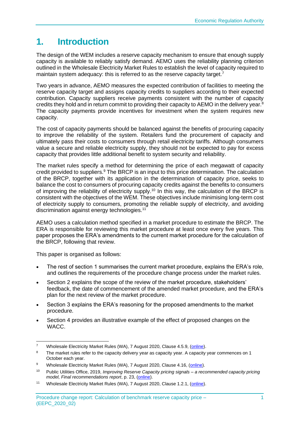# <span id="page-6-0"></span>**1. Introduction**

The design of the WEM includes a reserve capacity mechanism to ensure that enough supply capacity is available to reliably satisfy demand. AEMO uses the reliability planning criterion outlined in the Wholesale Electricity Market Rules to establish the level of capacity required to maintain system adequacy: this is referred to as the reserve capacity target.<sup>7</sup>

Two years in advance, AEMO measures the expected contribution of facilities to meeting the reserve capacity target and assigns capacity credits to suppliers according to their expected contribution. Capacity suppliers receive payments consistent with the number of capacity credits they hold and in return commit to providing their capacity to AEMO in the delivery year.<sup>8</sup> The capacity payments provide incentives for investment when the system requires new capacity.

The cost of capacity payments should be balanced against the benefits of procuring capacity to improve the reliability of the system. Retailers fund the procurement of capacity and ultimately pass their costs to consumers through retail electricity tariffs. Although consumers value a secure and reliable electricity supply, they should not be expected to pay for excess capacity that provides little additional benefit to system security and reliability.

The market rules specify a method for determining the price of each megawatt of capacity credit provided to suppliers.<sup>9</sup> The BRCP is an input to this price determination. The calculation of the BRCP, together with its application in the determination of capacity price, seeks to balance the cost to consumers of procuring capacity credits against the benefits to consumers of improving the reliability of electricity supply.<sup>10</sup> In this way, the calculation of the BRCP is consistent with the objectives of the WEM. These objectives include minimising long-term cost of electricity supply to consumers, promoting the reliable supply of electricity, and avoiding discrimination against energy technologies.<sup>11</sup>

AEMO uses a calculation method specified in a market procedure to estimate the BRCP. The ERA is responsible for reviewing this market procedure at least once every five years. This paper proposes the ERA's amendments to the current market procedure for the calculation of the BRCP, following that review.

This paper is organised as follows:

- The rest of section 1 summarises the current market procedure, explains the ERA's role, and outlines the requirements of the procedure change process under the market rules.
- Section 2 explains the scope of the review of the market procedure, stakeholders' feedback, the date of commencement of the amended market procedure, and the ERA's plan for the next review of the market procedure.
- Section 3 explains the ERA's reasoning for the proposed amendments to the market procedure.
- Section 4 provides an illustrative example of the effect of proposed changes on the WACC.

<sup>7</sup> Wholesale Electricity Market Rules (WA), 7 August 2020, Clause 4.5.9, [\(online\)](https://www.erawa.com.au/cproot/21394/2/Wholesale-Electricity-Market-Rules-7-August-2020.pdf).

<sup>&</sup>lt;sup>8</sup> The market rules refer to the capacity delivery year as capacity year. A capacity year commences on 1 October each year.

<sup>9</sup> Wholesale Electricity Market Rules (WA), 7 August 2020, Clause 4.16, [\(online\)](https://www.erawa.com.au/cproot/21394/2/Wholesale-Electricity-Market-Rules-7-August-2020.pdf).

<sup>10</sup> Public Utilities Office, 2019, *Improving Reserve Capacity pricing signals – a recommended capacity pricing model, Final recommendations report*, p. 23, [\(online\)](https://www.wa.gov.au/sites/default/files/2019-08/Final-Recommendations-Report-Improving-Reserve-Capacity-pricing-signals_0.pdf).

<sup>&</sup>lt;sup>11</sup> Wholesale Electricity Market Rules (WA), 7 August 2020, Clause 1.2.1, [\(online\)](https://www.erawa.com.au/cproot/21394/2/Wholesale-Electricity-Market-Rules-7-August-2020.pdf).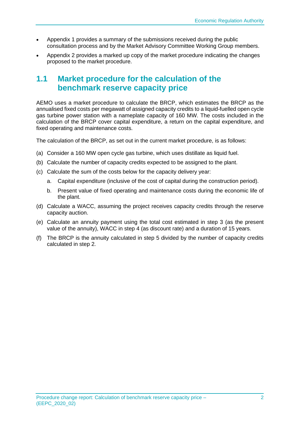- Appendix 1 provides a summary of the submissions received during the public consultation process and by the Market Advisory Committee Working Group members.
- Appendix 2 provides a marked up copy of the market procedure indicating the changes proposed to the market procedure.

# <span id="page-7-0"></span>**1.1 Market procedure for the calculation of the benchmark reserve capacity price**

AEMO uses a market procedure to calculate the BRCP, which estimates the BRCP as the annualised fixed costs per megawatt of assigned capacity credits to a liquid-fuelled open cycle gas turbine power station with a nameplate capacity of 160 MW. The costs included in the calculation of the BRCP cover capital expenditure, a return on the capital expenditure, and fixed operating and maintenance costs.

The calculation of the BRCP, as set out in the current market procedure, is as follows:

- (a) Consider a 160 MW open cycle gas turbine, which uses distillate as liquid fuel.
- (b) Calculate the number of capacity credits expected to be assigned to the plant.
- (c) Calculate the sum of the costs below for the capacity delivery year:
	- a. Capital expenditure (inclusive of the cost of capital during the construction period).
	- b. Present value of fixed operating and maintenance costs during the economic life of the plant.
- (d) Calculate a WACC, assuming the project receives capacity credits through the reserve capacity auction.
- (e) Calculate an annuity payment using the total cost estimated in step 3 (as the present value of the annuity), WACC in step 4 (as discount rate) and a duration of 15 years.
- (f) The BRCP is the annuity calculated in step 5 divided by the number of capacity credits calculated in step 2.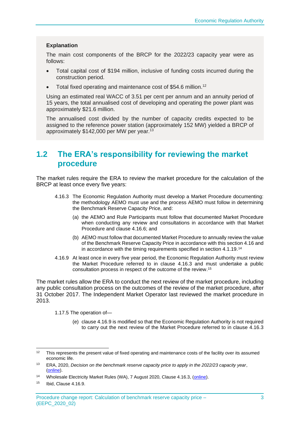#### **Explanation**

The main cost components of the BRCP for the 2022/23 capacity year were as follows:

- Total capital cost of \$194 million, inclusive of funding costs incurred during the construction period.
- Total fixed operating and maintenance cost of \$54.6 million.<sup>12</sup>

Using an estimated real WACC of 3.51 per cent per annum and an annuity period of 15 years, the total annualised cost of developing and operating the power plant was approximately \$21.6 million.

The annualised cost divided by the number of capacity credits expected to be assigned to the reference power station (approximately 152 MW) yielded a BRCP of approximately \$142,000 per MW per year.<sup>13</sup>

# <span id="page-8-0"></span>**1.2 The ERA's responsibility for reviewing the market procedure**

The market rules require the ERA to review the market procedure for the calculation of the BRCP at least once every five years:

- 4.16.3 The Economic Regulation Authority must develop a Market Procedure documenting: the methodology AEMO must use and the process AEMO must follow in determining the Benchmark Reserve Capacity Price, and:
	- (a) the AEMO and Rule Participants must follow that documented Market Procedure when conducting any review and consultations in accordance with that Market Procedure and clause 4.16.6; and
	- (b) AEMO must follow that documented Market Procedure to annually review the value of the Benchmark Reserve Capacity Price in accordance with this section 4.16 and in accordance with the timing requirements specified in section 4.1.19.<sup>14</sup>
- 4.16.9 At least once in every five year period, the Economic Regulation Authority must review the Market Procedure referred to in clause 4.16.3 and must undertake a public consultation process in respect of the outcome of the review. 15

The market rules allow the ERA to conduct the next review of the market procedure, including any public consultation process on the outcomes of the review of the market procedure, after 31 October 2017. The Independent Market Operator last reviewed the market procedure in 2013.

1.17.5 The operation of—

(e) clause 4.16.9 is modified so that the Economic Regulation Authority is not required to carry out the next review of the Market Procedure referred to in clause 4.16.3

<sup>&</sup>lt;sup>12</sup> This represents the present value of fixed operating and maintenance costs of the facility over its assumed economic life.

<sup>13</sup> ERA, 2020, *Decision on the benchmark reserve capacity price to apply in the 2022/23 capacity year*, [\(online\)](https://www.erawa.com.au/cproot/20891/2/Benchmark-Reserve-Capacity-Price-2020---Decision-paper.pdf).

<sup>&</sup>lt;sup>14</sup> Wholesale Electricity Market Rules (WA), 7 August 2020, Clause 4.16.3, [\(online\)](https://www.erawa.com.au/cproot/21394/2/Wholesale-Electricity-Market-Rules-7-August-2020.pdf).

<sup>15</sup> Ibid, Clause 4.16.9.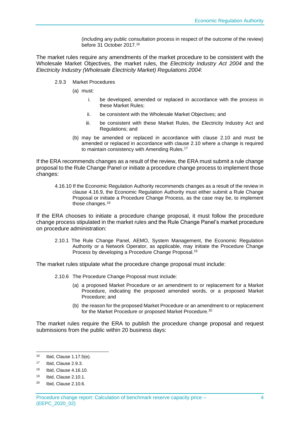(including any public consultation process in respect of the outcome of the review) before 31 October 2017.<sup>16</sup>

The market rules require any amendments of the market procedure to be consistent with the Wholesale Market Objectives, the market rules, the *Electricity Industry Act 2004* and the *Electricity Industry (Wholesale Electricity Market) Regulations 2004*:

- 2.9.3 Market Procedures
	- (a) must:
		- i. be developed, amended or replaced in accordance with the process in these Market Rules;
		- ii. be consistent with the Wholesale Market Objectives; and
		- iii. be consistent with these Market Rules, the Electricity Industry Act and Regulations; and
	- (b) may be amended or replaced in accordance with clause 2.10 and must be amended or replaced in accordance with clause 2.10 where a change is required to maintain consistency with Amending Rules.<sup>17</sup>

If the ERA recommends changes as a result of the review, the ERA must submit a rule change proposal to the Rule Change Panel or initiate a procedure change process to implement those changes:

4.16.10 If the Economic Regulation Authority recommends changes as a result of the review in clause 4.16.9, the Economic Regulation Authority must either submit a Rule Change Proposal or initiate a Procedure Change Process, as the case may be, to implement those changes.<sup>18</sup>

If the ERA chooses to initiate a procedure change proposal, it must follow the procedure change process stipulated in the market rules and the Rule Change Panel's market procedure on procedure administration:

2.10.1 The Rule Change Panel, AEMO, System Management, the Economic Regulation Authority or a Network Operator, as applicable, may initiate the Procedure Change Process by developing a Procedure Change Proposal.<sup>19</sup>

The market rules stipulate what the procedure change proposal must include:

- 2.10.6 The Procedure Change Proposal must include:
	- (a) a proposed Market Procedure or an amendment to or replacement for a Market Procedure, indicating the proposed amended words, or a proposed Market Procedure; and
	- (b) the reason for the proposed Market Procedure or an amendment to or replacement for the Market Procedure or proposed Market Procedure.<sup>20</sup>

The market rules require the ERA to publish the procedure change proposal and request submissions from the public within 20 business days:

<sup>16</sup> Ibid, Clause 1.17.5(e).

<sup>17</sup> Ibid, Clause 2.9.3.

<sup>18</sup> Ibid, Clause 4.16.10.

<sup>19</sup> Ibid, Clause 2.10.1.

<sup>20</sup> Ibid, Clause 2.10.6.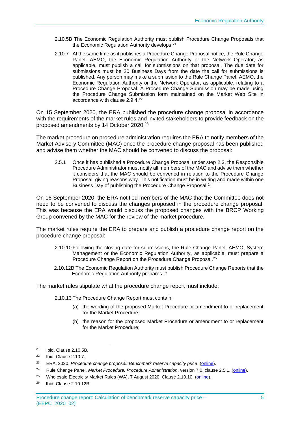- 2.10.5B The Economic Regulation Authority must publish Procedure Change Proposals that the Economic Regulation Authority develops.<sup>21</sup>
- 2.10.7 At the same time as it publishes a Procedure Change Proposal notice, the Rule Change Panel, AEMO, the Economic Regulation Authority or the Network Operator, as applicable, must publish a call for submissions on that proposal. The due date for submissions must be 20 Business Days from the date the call for submissions is published. Any person may make a submission to the Rule Change Panel, AEMO, the Economic Regulation Authority or the Network Operator, as applicable, relating to a Procedure Change Proposal. A Procedure Change Submission may be made using the Procedure Change Submission form maintained on the Market Web Site in accordance with clause 2.9.4.<sup>22</sup>

On 15 September 2020, the ERA published the procedure change proposal in accordance with the requirements of the market rules and invited stakeholders to provide feedback on the proposed amendments by 14 October 2020.<sup>23</sup>

The market procedure on procedure administration requires the ERA to notify members of the Market Advisory Committee (MAC) once the procedure change proposal has been published and advise them whether the MAC should be convened to discuss the proposal:

2.5.1 Once it has published a Procedure Change Proposal under step 2.3, the Responsible Procedure Administrator must notify all members of the MAC and advise them whether it considers that the MAC should be convened in relation to the Procedure Change Proposal, giving reasons why. This notification must be in writing and made within one Business Day of publishing the Procedure Change Proposal.<sup>24</sup>

On 16 September 2020, the ERA notified members of the MAC that the Committee does not need to be convened to discuss the changes proposed in the procedure change proposal. This was because the ERA would discuss the proposed changes with the BRCP Working Group convened by the MAC for the review of the market procedure.

The market rules require the ERA to prepare and publish a procedure change report on the procedure change proposal:

- 2.10.10 Following the closing date for submissions, the Rule Change Panel, AEMO, System Management or the Economic Regulation Authority, as applicable, must prepare a Procedure Change Report on the Procedure Change Proposal.<sup>25</sup>
- 2.10.12B The Economic Regulation Authority must publish Procedure Change Reports that the Economic Regulation Authority prepares.<sup>26</sup>

The market rules stipulate what the procedure change report must include:

- 2.10.13 The Procedure Change Report must contain:
	- (a) the wording of the proposed Market Procedure or amendment to or replacement for the Market Procedure;
	- (b) the reason for the proposed Market Procedure or amendment to or replacement for the Market Procedure;

<sup>21</sup> Ibid, Clause 2.10.5B.

<sup>22</sup> Ibid, Clause 2.10.7.

<sup>23</sup> ERA, 2020, *Procedure change proposal: Benchmark reserve capacity price*, [\(online\)](https://www.erawa.com.au/cproot/21445/2/Review-of-BRCP-market-procedure-2020---BRCP-procedure-change-proposal---Approved-for-publishing.pdf).

<sup>24</sup> Rule Change Panel, *Market Procedure: Procedure Administration*, version 7.0, clause 2.5.1, [\(online\)](https://www.erawa.com.au/cproot/18407/2/Procedure%20Administration%20Market%20Procedure-24%20October%202017.pdf).

<sup>&</sup>lt;sup>25</sup> Wholesale Electricity Market Rules (WA), 7 August 2020, Clause 2.10.10, [\(online\)](https://www.erawa.com.au/cproot/21394/2/Wholesale-Electricity-Market-Rules-7-August-2020.pdf).

<sup>26</sup> Ibid, Clause 2.10.12B.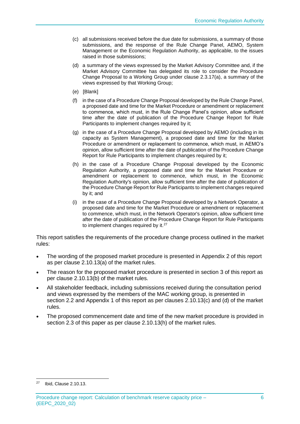- (c) all submissions received before the due date for submissions, a summary of those submissions, and the response of the Rule Change Panel, AEMO, System Management or the Economic Regulation Authority, as applicable, to the issues raised in those submissions;
- (d) a summary of the views expressed by the Market Advisory Committee and, if the Market Advisory Committee has delegated its role to consider the Procedure Change Proposal to a Working Group under clause 2.3.17(a), a summary of the views expressed by that Working Group;
- (e) [Blank]
- (f) in the case of a Procedure Change Proposal developed by the Rule Change Panel, a proposed date and time for the Market Procedure or amendment or replacement to commence, which must, in the Rule Change Panel's opinion, allow sufficient time after the date of publication of the Procedure Change Report for Rule Participants to implement changes required by it;
- (g) in the case of a Procedure Change Proposal developed by AEMO (including in its capacity as System Management), a proposed date and time for the Market Procedure or amendment or replacement to commence, which must, in AEMO's opinion, allow sufficient time after the date of publication of the Procedure Change Report for Rule Participants to implement changes required by it;
- (h) in the case of a Procedure Change Proposal developed by the Economic Regulation Authority, a proposed date and time for the Market Procedure or amendment or replacement to commence, which must, in the Economic Regulation Authority's opinion, allow sufficient time after the date of publication of the Procedure Change Report for Rule Participants to implement changes required by it; and
- (i) in the case of a Procedure Change Proposal developed by a Network Operator, a proposed date and time for the Market Procedure or amendment or replacement to commence, which must, in the Network Operator's opinion, allow sufficient time after the date of publication of the Procedure Change Report for Rule Participants to implement changes required by it.<sup>27</sup>

This report satisfies the requirements of the procedure change process outlined in the market rules:

- The wording of the proposed market procedure is presented in Appendix 2 of this report as per clause 2.10.13(a) of the market rules.
- The reason for the proposed market procedure is presented in section [3](#page-17-0) of this report as per clause 2.10.13(b) of the market rules.
- All stakeholder feedback, including submissions received during the consultation period and views expressed by the members of the MAC working group, is presented in section [2.2](#page-13-1) and Appendix 1 of this report as per clauses 2.10.13(c) and (d) of the market rules.
- The proposed commencement date and time of the new market procedure is provided in section [2.3](#page-15-1) of this paper as per clause 2.10.13(h) of the market rules.

Procedure change report: Calculation of benchmark reserve capacity price – (EEPC\_2020\_02)

<sup>27</sup> Ibid, Clause 2.10.13.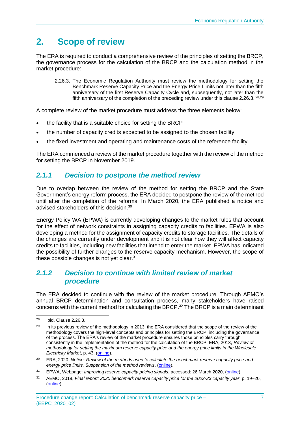# <span id="page-12-0"></span>**2. Scope of review**

The ERA is required to conduct a comprehensive review of the principles of setting the BRCP, the governance process for the calculation of the BRCP and the calculation method in the market procedure:

2.26.3. The Economic Regulation Authority must review the methodology for setting the Benchmark Reserve Capacity Price and the Energy Price Limits not later than the fifth anniversary of the first Reserve Capacity Cycle and, subsequently, not later than the fifth anniversary of the completion of the preceding review under this clause 2.26.3. <sup>28,29</sup>

A complete review of the market procedure must address the three elements below:

- the facility that is a suitable choice for setting the BRCP
- the number of capacity credits expected to be assigned to the chosen facility
- the fixed investment and operating and maintenance costs of the reference facility.

The ERA commenced a review of the market procedure together with the review of the method for setting the BRCP in November 2019.

# <span id="page-12-1"></span>*2.1.1 Decision to postpone the method review*

Due to overlap between the review of the method for setting the BRCP and the State Government's energy reform process, the ERA decided to postpone the review of the method until after the completion of the reforms. In March 2020, the ERA published a notice and advised stakeholders of this decision.<sup>30</sup>

Energy Policy WA (EPWA) is currently developing changes to the market rules that account for the effect of network constraints in assigning capacity credits to facilities. EPWA is also developing a method for the assignment of capacity credits to storage facilities. The details of the changes are currently under development and it is not clear how they will affect capacity credits to facilities, including new facilities that intend to enter the market. EPWA has indicated the possibility of further changes to the reserve capacity mechanism. However, the scope of these possible changes is not vet clear. $31$ 

### <span id="page-12-2"></span>*2.1.2 Decision to continue with limited review of market procedure*

The ERA decided to continue with the review of the market procedure. Through AEMO's annual BRCP determination and consultation process, many stakeholders have raised concerns with the current method for calculating the BRCP. <sup>32</sup> The BRCP is a main determinant

<sup>28</sup> Ibid, Clause 2.26.3.

<sup>&</sup>lt;sup>29</sup> In its previous review of the methodology in 2013, the ERA considered that the scope of the review of the methodology covers the high-level concepts and principles for setting the BRCP, including the governance of the process. The ERA's review of the market procedure ensures those principles carry through consistently in the implementation of the method for the calculation of the BRCP. ERA, 2013, *Review of methodology for setting the maximum reserve capacity price and the energy price limits in the Wholesale Electricity Market*, p. 43, [\(online\)](https://www.erawa.com.au/cproot/12036/2/Review%20of%20methodology%20for%20setting%20the%20MRCP%20and%20the%20EPLs%20in%20the%20WEM.pdf).

<sup>30</sup> ERA, 2020, *Notice: Review of the methods used to calculate the benchmark reserve capacity price and energy price limits, Suspension of the method reviews*, [\(online\)](https://www.erawa.com.au/cproot/21237/2/NOTICE---Suspension-of-BRCPEPL-method-reviews.pdf).

<sup>31</sup> EPWA, Webpage: *Improving reserve capacity pricing signals*, accessed: 26 March 2020, [\(online\)](https://www.wa.gov.au/government/document-collections/improving-reserve-capacity-pricing-signals).

<sup>32</sup> AEMO, 2019, *Final report: 2020 benchmark reserve capacity price for the 2022-23 capacity year*, p. 19–20, [\(online\)](https://aemo.com.au/-/media/files/electricity/wem/reserve_capacity_mechanism/brcp/2020/final-report/final-report---benchmark-reserve-capacity-price-for-the-2022-23-capacity-year.pdf?la=en&hash=01DBBEC4291877CDA51EC016432D181A).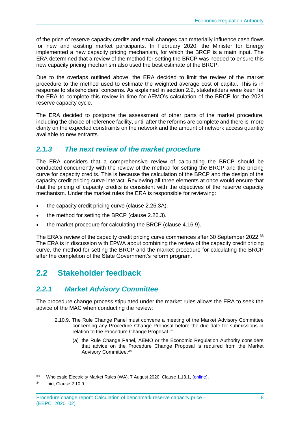of the price of reserve capacity credits and small changes can materially influence cash flows for new and existing market participants. In February 2020, the Minister for Energy implemented a new capacity pricing mechanism, for which the BRCP is a main input. The ERA determined that a review of the method for setting the BRCP was needed to ensure this new capacity pricing mechanism also used the best estimate of the BRCP.

Due to the overlaps outlined above, the ERA decided to limit the review of the market procedure to the method used to estimate the weighted average cost of capital. This is in response to stakeholders' concerns. As explained in section [2.2,](#page-13-1) stakeholders were keen for the ERA to complete this review in time for AEMO's calculation of the BRCP for the 2021 reserve capacity cycle.

The ERA decided to postpone the assessment of other parts of the market procedure, including the choice of reference facility, until after the reforms are complete and there is more clarity on the expected constraints on the network and the amount of network access quantity available to new entrants.

### <span id="page-13-0"></span>*2.1.3 The next review of the market procedure*

The ERA considers that a comprehensive review of calculating the BRCP should be conducted concurrently with the review of the method for setting the BRCP and the pricing curve for capacity credits. This is because the calculation of the BRCP and the design of the capacity credit pricing curve interact. Reviewing all three elements at once would ensure that that the pricing of capacity credits is consistent with the objectives of the reserve capacity mechanism. Under the market rules the ERA is responsible for reviewing:

- the capacity credit pricing curve (clause 2.26.3A).
- the method for setting the BRCP (clause 2.26.3).
- the market procedure for calculating the BRCP (clause 4.16.9).

The ERA's review of the capacity credit pricing curve commences after 30 September 2022.<sup>33</sup> The ERA is in discussion with EPWA about combining the review of the capacity credit pricing curve, the method for setting the BRCP and the market procedure for calculating the BRCP after the completion of the State Government's reform program.

# <span id="page-13-1"></span>**2.2 Stakeholder feedback**

# <span id="page-13-2"></span>*2.2.1 Market Advisory Committee*

The procedure change process stipulated under the market rules allows the ERA to seek the advice of the MAC when conducting the review:

- 2.10.9. The Rule Change Panel must convene a meeting of the Market Advisory Committee concerning any Procedure Change Proposal before the due date for submissions in relation to the Procedure Change Proposal if:
	- (a) the Rule Change Panel, AEMO or the Economic Regulation Authority considers that advice on the Procedure Change Proposal is required from the Market Advisory Committee.<sup>34</sup>

<sup>&</sup>lt;sup>33</sup> Wholesale Electricity Market Rules (WA), 7 August 2020, Clause 1.13.1, [\(online\)](https://www.erawa.com.au/cproot/21394/2/Wholesale-Electricity-Market-Rules-7-August-2020.pdf).

<sup>34</sup> Ibid, Clause 2.10.9.

Procedure change report: Calculation of benchmark reserve capacity price – (EEPC\_2020\_02)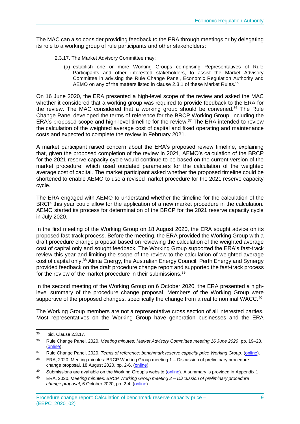The MAC can also consider providing feedback to the ERA through meetings or by delegating its role to a working group of rule participants and other stakeholders:

- 2.3.17. The Market Advisory Committee may:
	- (a) establish one or more Working Groups comprising Representatives of Rule Participants and other interested stakeholders, to assist the Market Advisory Committee in advising the Rule Change Panel, Economic Regulation Authority and AEMO on any of the matters listed in clause 2.3.1 of these Market Rules. 35

On 16 June 2020, the ERA presented a high-level scope of the review and asked the MAC whether it considered that a working group was required to provide feedback to the ERA for the review. The MAC considered that a working group should be convened.<sup>36</sup> The Rule Change Panel developed the terms of reference for the BRCP Working Group, including the ERA's proposed scope and high-level timeline for the review. $37$  The ERA intended to review the calculation of the weighted average cost of capital and fixed operating and maintenance costs and expected to complete the review in February 2021.

A market participant raised concern about the ERA's proposed review timeline, explaining that, given the proposed completion of the review in 2021, AEMO's calculation of the BRCP for the 2021 reserve capacity cycle would continue to be based on the current version of the market procedure, which used outdated parameters for the calculation of the weighted average cost of capital. The market participant asked whether the proposed timeline could be shortened to enable AEMO to use a revised market procedure for the 2021 reserve capacity cycle.

The ERA engaged with AEMO to understand whether the timeline for the calculation of the BRCP this year could allow for the application of a new market procedure in the calculation. AEMO started its process for determination of the BRCP for the 2021 reserve capacity cycle in July 2020.

In the first meeting of the Working Group on 18 August 2020, the ERA sought advice on its proposed fast-track process. Before the meeting, the ERA provided the Working Group with a draft procedure change proposal based on reviewing the calculation of the weighted average cost of capital only and sought feedback. The Working Group supported the ERA's fast-track review this year and limiting the scope of the review to the calculation of weighted average cost of capital only.<sup>38</sup> Alinta Energy, the Australian Energy Council, Perth Energy and Synergy provided feedback on the draft procedure change report and supported the fast-track process for the review of the market procedure in their submissions.<sup>39</sup>

In the second meeting of the Working Group on 6 October 2020, the ERA presented a highlevel summary of the procedure change proposal. Members of the Working Group were supportive of the proposed changes, specifically the change from a real to nominal WACC.<sup>40</sup>

The Working Group members are not a representative cross section of all interested parties. Most representatives on the Working Group have generation businesses and the ERA

<sup>35</sup> Ibid, Clause 2.3.17.

<sup>36</sup> Rule Change Panel, 2020, *Meeting minutes: Market Advisory Committee meeting 16 June 2020*, pp. 19–20, [\(online\)](https://www.erawa.com.au/cproot/21382/2/MAC-2020_06_16----Minutes-FINAL.pdf).

<sup>37</sup> Rule Change Panel, 2020, *Terms of reference: benchmark reserve capacity price Working Group*, [\(online\)](https://www.erawa.com.au/cproot/21385/2/BRCP-Working-Group----Terms-of-Reference-28-July-2020-.pdf).

<sup>38</sup> ERA, 2020, Meeting minutes: BRCP Working Group meeting 1 – Discussion of preliminary procedure change proposal, 18 August 2020, pp. 2-6, [\(online\)](https://www.erawa.com.au/cproot/21436/2/BRCP-Working-group-meeting-18th-August---Minutes-FINAL.pdf).

<sup>&</sup>lt;sup>39</sup> Submissions are available on the Working Group's website [\(online\)](https://www.erawa.com.au/rule-change-panel-brcp-working-group). A summary is provided i[n Appendix 1.](#page-44-0)

<sup>40</sup> ERA, 2020, *Meeting minutes: BRCP Working Group meeting 2 – Discussion of preliminary procedure change proposal*, 6 October 2020, pp. 2-4, [\(online\)](https://www.erawa.com.au/cproot/21524/2/BRCP-Working-group-meeting-6-October---Minutes-FINAL.pdf).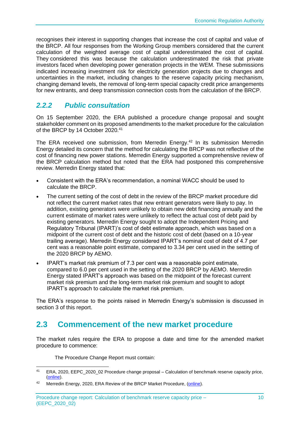recognises their interest in supporting changes that increase the cost of capital and value of the BRCP. All four responses from the Working Group members considered that the current calculation of the weighted average cost of capital underestimated the cost of capital. They considered this was because the calculation underestimated the risk that private investors faced when developing power generation projects in the WEM. These submissions indicated increasing investment risk for electricity generation projects due to changes and uncertainties in the market, including changes to the reserve capacity pricing mechanism, changing demand levels, the removal of long-term special capacity credit price arrangements for new entrants, and deep transmission connection costs from the calculation of the BRCP.

# <span id="page-15-0"></span>*2.2.2 Public consultation*

On 15 September 2020, the ERA published a procedure change proposal and sought stakeholder comment on its proposed amendments to the market procedure for the calculation of the BRCP by 14 October 2020.<sup>41</sup>

The ERA received one submission, from Merredin Energy.<sup>42</sup> In its submission Merredin Energy detailed its concern that the method for calculating the BRCP was not reflective of the cost of financing new power stations. Merredin Energy supported a comprehensive review of the BRCP calculation method but noted that the ERA had postponed this comprehensive review. Merredin Energy stated that:

- Consistent with the ERA's recommendation, a nominal WACC should be used to calculate the BRCP.
- The current setting of the cost of debt in the review of the BRCP market procedure did not reflect the current market rates that new entrant generators were likely to pay. In addition, existing generators were unlikely to obtain new debt financing annually and the current estimate of market rates were unlikely to reflect the actual cost of debt paid by existing generators. Merredin Energy sought to adopt the Independent Pricing and Regulatory Tribunal (IPART)'s cost of debt estimate approach, which was based on a midpoint of the current cost of debt and the historic cost of debt (based on a 10-year trailing average). Merredin Energy considered IPART's nominal cost of debt of 4.7 per cent was a reasonable point estimate, compared to 3.34 per cent used in the setting of the 2020 BRCP by AEMO.
- IPART's market risk premium of 7.3 per cent was a reasonable point estimate, compared to 6.0 per cent used in the setting of the 2020 BRCP by AEMO. Merredin Energy stated IPART's approach was based on the midpoint of the forecast current market risk premium and the long-term market risk premium and sought to adopt IPART's approach to calculate the market risk premium.

The ERA's response to the points raised in Merredin Energy's submission is discussed in section 3 of this report.

# <span id="page-15-1"></span>**2.3 Commencement of the new market procedure**

The market rules require the ERA to propose a date and time for the amended market procedure to commence:

The Procedure Change Report must contain:

<sup>41</sup> ERA, 2020, EEPC\_2020\_02 Procedure change proposal – Calculation of benchmark reserve capacity price, [\(online\)](https://www.erawa.com.au/cproot/21445/2/Review-of-BRCP-market-procedure-2020---BRCP-procedure-change-proposal---Approved-for-publishing.pdf).

<sup>&</sup>lt;sup>42</sup> Merredin Energy, 2020, ERA Review of the BRCP Market Procedure, [\(online\)](https://www.erawa.com.au/electricity/wholesale-electricity-market/market-procedures/procedure-change-eepc_2020_02-review-of-the-benchmark-reserve-capacity-price-market-procedure).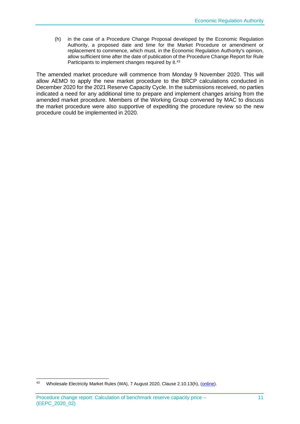(h) in the case of a Procedure Change Proposal developed by the Economic Regulation Authority, a proposed date and time for the Market Procedure or amendment or replacement to commence, which must, in the Economic Regulation Authority's opinion, allow sufficient time after the date of publication of the Procedure Change Report for Rule Participants to implement changes required by it.<sup>43</sup>

The amended market procedure will commence from Monday 9 November 2020. This will allow AEMO to apply the new market procedure to the BRCP calculations conducted in December 2020 for the 2021 Reserve Capacity Cycle. In the submissions received, no parties indicated a need for any additional time to prepare and implement changes arising from the amended market procedure. Members of the Working Group convened by MAC to discuss the market procedure were also supportive of expediting the procedure review so the new procedure could be implemented in 2020.

<sup>43</sup> Wholesale Electricity Market Rules (WA), 7 August 2020, Clause 2.10.13(h), [\(online\)](https://www.erawa.com.au/cproot/21394/2/Wholesale-Electricity-Market-Rules-7-August-2020.pdf).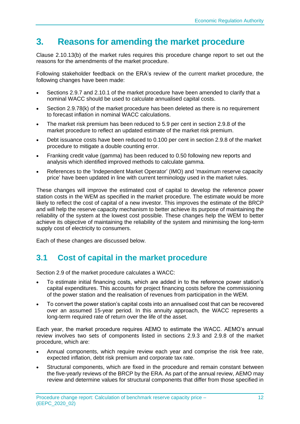# <span id="page-17-0"></span>**3. Reasons for amending the market procedure**

Clause 2.10.13(b) of the market rules requires this procedure change report to set out the reasons for the amendments of the market procedure.

Following stakeholder feedback on the ERA's review of the current market procedure, the following changes have been made:

- Sections 2.9.7 and 2.10.1 of the market procedure have been amended to clarify that a nominal WACC should be used to calculate annualised capital costs.
- Section 2.9.78(k) of the market procedure has been deleted as there is no requirement to forecast inflation in nominal WACC calculations.
- The market risk premium has been reduced to 5.9 per cent in section 2.9.8 of the market procedure to reflect an updated estimate of the market risk premium.
- Debt issuance costs have been reduced to 0.100 per cent in section 2.9.8 of the market procedure to mitigate a double counting error.
- Franking credit value (gamma) has been reduced to 0.50 following new reports and analysis which identified improved methods to calculate gamma.
- References to the 'Independent Market Operator' (IMO) and 'maximum reserve capacity price' have been updated in line with current terminology used in the market rules.

These changes will improve the estimated cost of capital to develop the reference power station costs in the WEM as specified in the market procedure. The estimate would be more likely to reflect the cost of capital of a new investor. This improves the estimate of the BRCP and will help the reserve capacity mechanism to better achieve its purpose of maintaining the reliability of the system at the lowest cost possible. These changes help the WEM to better achieve its objective of maintaining the reliability of the system and minimising the long-term supply cost of electricity to consumers.

Each of these changes are discussed below.

# <span id="page-17-1"></span>**3.1 Cost of capital in the market procedure**

Section 2.9 of the market procedure calculates a WACC:

- To estimate initial financing costs, which are added in to the reference power station's capital expenditures. This accounts for project financing costs before the commissioning of the power station and the realisation of revenues from participation in the WEM.
- To convert the power station's capital costs into an annualised cost that can be recovered over an assumed 15-year period. In this annuity approach, the WACC represents a long-term required rate of return over the life of the asset.

Each year, the market procedure requires AEMO to estimate the WACC. AEMO's annual review involves two sets of components listed in sections 2.9.3 and 2.9.8 of the market procedure, which are:

- Annual components, which require review each year and comprise the risk free rate, expected inflation, debt risk premium and corporate tax rate.
- Structural components, which are fixed in the procedure and remain constant between the five-yearly reviews of the BRCP by the ERA. As part of the annual review, AEMO may review and determine values for structural components that differ from those specified in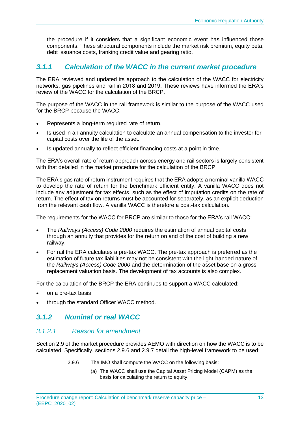the procedure if it considers that a significant economic event has influenced those components. These structural components include the market risk premium, equity beta, debt issuance costs, franking credit value and gearing ratio.

## <span id="page-18-0"></span>*3.1.1 Calculation of the WACC in the current market procedure*

The ERA reviewed and updated its approach to the calculation of the WACC for electricity networks, gas pipelines and rail in 2018 and 2019. These reviews have informed the ERA's review of the WACC for the calculation of the BRCP.

The purpose of the WACC in the rail framework is similar to the purpose of the WACC used for the BRCP because the WACC:

- Represents a long-term required rate of return.
- Is used in an annuity calculation to calculate an annual compensation to the investor for capital costs over the life of the asset.
- Is updated annually to reflect efficient financing costs at a point in time.

The ERA's overall rate of return approach across energy and rail sectors is largely consistent with that detailed in the market procedure for the calculation of the BRCP.

The ERA's gas rate of return instrument requires that the ERA adopts a nominal vanilla WACC to develop the rate of return for the benchmark efficient entity. A vanilla WACC does not include any adjustment for tax effects, such as the effect of imputation credits on the rate of return. The effect of tax on returns must be accounted for separately, as an explicit deduction from the relevant cash flow. A vanilla WACC is therefore a post-tax calculation.

The requirements for the WACC for BRCP are similar to those for the ERA's rail WACC:

- The *Railways (Access) Code 2000* requires the estimation of annual capital costs through an annuity that provides for the return on and of the cost of building a new railway.
- For rail the ERA calculates a pre-tax WACC. The pre-tax approach is preferred as the estimation of future tax liabilities may not be consistent with the light-handed nature of the *Railways (Access) Code 2000* and the determination of the asset base on a gross replacement valuation basis. The development of tax accounts is also complex.

For the calculation of the BRCP the ERA continues to support a WACC calculated:

- on a pre-tax basis
- through the standard Officer WACC method.

### <span id="page-18-1"></span>*3.1.2 Nominal or real WACC*

#### *3.1.2.1 Reason for amendment*

Section 2.9 of the market procedure provides AEMO with direction on how the WACC is to be calculated. Specifically, sections 2.9.6 and 2.9.7 detail the high-level framework to be used:

- 2.9.6 The IMO shall compute the WACC on the following basis:
	- (a) The WACC shall use the Capital Asset Pricing Model (CAPM) as the basis for calculating the return to equity.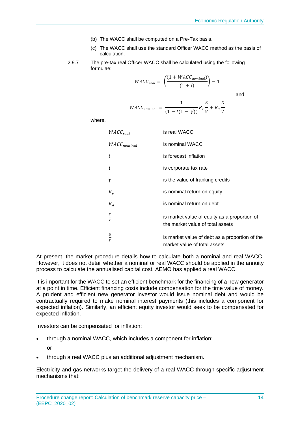- (b) The WACC shall be computed on a Pre-Tax basis.
- (c) The WACC shall use the standard Officer WACC method as the basis of calculation.
- 2.9.7 The pre-tax real Officer WACC shall be calculated using the following formulae:

$$
WACC_{real} = \left(\frac{(1 + WACC_{nominal})}{(1 + i)}\right) - 1
$$

$$
\quad \text{and} \quad
$$

$$
WACC_{nominal} = \frac{1}{(1 - t(1 - \gamma))} R_e \frac{E}{V} + R_d \frac{D}{V}
$$

where,

| $WACC_{real}$    | is real WACC                                                                     |
|------------------|----------------------------------------------------------------------------------|
| $WACC_{nominal}$ | is nominal WACC                                                                  |
| i                | is forecast inflation                                                            |
| t                | is corporate tax rate                                                            |
| γ                | is the value of franking credits                                                 |
| $R_e$            | is nominal return on equity                                                      |
| $R_d$            | is nominal return on debt                                                        |
| $\frac{E}{V}$    | is market value of equity as a proportion of<br>the market value of total assets |
| D<br>V           | is market value of debt as a proportion of the<br>market value of total assets   |

At present, the market procedure details how to calculate both a nominal and real WACC. However, it does not detail whether a nominal or real WACC should be applied in the annuity process to calculate the annualised capital cost. AEMO has applied a real WACC.

It is important for the WACC to set an efficient benchmark for the financing of a new generator at a point in time. Efficient financing costs include compensation for the time value of money. A prudent and efficient new generator investor would issue nominal debt and would be contractually required to make nominal interest payments (this includes a component for expected inflation). Similarly, an efficient equity investor would seek to be compensated for expected inflation.

Investors can be compensated for inflation:

- through a nominal WACC, which includes a component for inflation; or
- through a real WACC plus an additional adjustment mechanism.

Electricity and gas networks target the delivery of a real WACC through specific adjustment mechanisms that: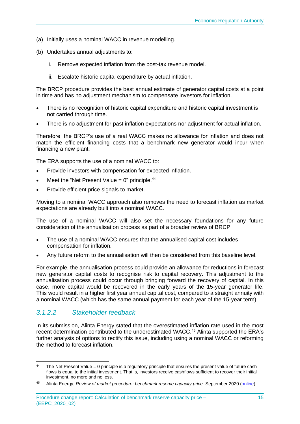- (a) Initially uses a nominal WACC in revenue modelling.
- (b) Undertakes annual adjustments to:
	- i. Remove expected inflation from the post-tax revenue model.
	- ii. Escalate historic capital expenditure by actual inflation.

The BRCP procedure provides the best annual estimate of generator capital costs at a point in time and has no adjustment mechanism to compensate investors for inflation.

- There is no recognition of historic capital expenditure and historic capital investment is not carried through time.
- There is no adjustment for past inflation expectations nor adjustment for actual inflation.

Therefore, the BRCP's use of a real WACC makes no allowance for inflation and does not match the efficient financing costs that a benchmark new generator would incur when financing a new plant.

The ERA supports the use of a nominal WACC to:

- Provide investors with compensation for expected inflation.
- Meet the "Net Present Value =  $0$ " principle.<sup>44</sup>
- Provide efficient price signals to market.

Moving to a nominal WACC approach also removes the need to forecast inflation as market expectations are already built into a nominal WACC.

The use of a nominal WACC will also set the necessary foundations for any future consideration of the annualisation process as part of a broader review of BRCP.

- The use of a nominal WACC ensures that the annualised capital cost includes compensation for inflation.
- Any future reform to the annualisation will then be considered from this baseline level.

For example, the annualisation process could provide an allowance for reductions in forecast new generator capital costs to recognise risk to capital recovery. This adjustment to the annualisation process could occur through bringing forward the recovery of capital. In this case, more capital would be recovered in the early years of the 15-year generator life. This would result in a higher first year annual capital cost, compared to a straight annuity with a nominal WACC (which has the same annual payment for each year of the 15-year term).

#### *3.1.2.2 Stakeholder feedback*

In its submission, Alinta Energy stated that the overestimated inflation rate used in the most recent determination contributed to the underestimated WACC.<sup>45</sup> Alinta supported the ERA's further analysis of options to rectify this issue, including using a nominal WACC or reforming the method to forecast inflation.

<sup>&</sup>lt;sup>44</sup> The Net Present Value = 0 principle is a regulatory principle that ensures the present value of future cash flows is equal to the initial investment. That is, investors receive cashflows sufficient to recover their initial investment, no more and no less.

<sup>45</sup> Alinta Energy, *Review of market procedure: benchmark reserve capacity price,* September 2020 [\(online\)](https://www.erawa.com.au/cproot/21425/2/Alinta-Energy-submission---ERA-BRCP-Market-Procedure-Review_Redacted.pdf).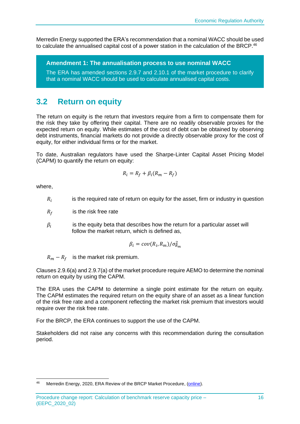Merredin Energy supported the ERA's recommendation that a nominal WACC should be used to calculate the annualised capital cost of a power station in the calculation of the BRCP.<sup>46</sup>

**Amendment 1: The annualisation process to use nominal WACC**

The ERA has amended sections 2.9.7 and 2.10.1 of the market procedure to clarify that a nominal WACC should be used to calculate annualised capital costs.

# <span id="page-21-0"></span>**3.2 Return on equity**

The return on equity is the return that investors require from a firm to compensate them for the risk they take by offering their capital. There are no readily observable proxies for the expected return on equity. While estimates of the cost of debt can be obtained by observing debt instruments, financial markets do not provide a directly observable proxy for the cost of equity, for either individual firms or for the market.

To date, Australian regulators have used the Sharpe-Linter Capital Asset Pricing Model (CAPM) to quantify the return on equity:

$$
R_i = R_f + \beta_i (R_m - R_f)
$$

where,

- $R_i$ is the required rate of return on equity for the asset, firm or industry in question
- $R_f$  is the risk free rate
- $\beta_i$ is the equity beta that describes how the return for a particular asset will follow the market return, which is defined as,

$$
\beta_i = cov(R_i, R_m) / \sigma_{R_m}^2
$$

 $R_m - R_f$  is the market risk premium.

Clauses 2.9.6(a) and 2.9.7(a) of the market procedure require AEMO to determine the nominal return on equity by using the CAPM.

The ERA uses the CAPM to determine a single point estimate for the return on equity. The CAPM estimates the required return on the equity share of an asset as a linear function of the risk free rate and a component reflecting the market risk premium that investors would require over the risk free rate.

For the BRCP, the ERA continues to support the use of the CAPM.

Stakeholders did not raise any concerns with this recommendation during the consultation period.

<sup>&</sup>lt;sup>46</sup> Merredin Energy, 2020, ERA Review of the BRCP Market Procedure, [\(online\)](https://www.erawa.com.au/electricity/wholesale-electricity-market/market-procedures/procedure-change-eepc_2020_02-review-of-the-benchmark-reserve-capacity-price-market-procedure).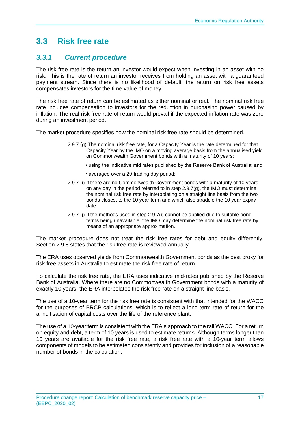# <span id="page-22-0"></span>**3.3 Risk free rate**

# <span id="page-22-1"></span>*3.3.1 Current procedure*

The risk free rate is the return an investor would expect when investing in an asset with no risk. This is the rate of return an investor receives from holding an asset with a guaranteed payment stream. Since there is no likelihood of default, the return on risk free assets compensates investors for the time value of money.

The risk free rate of return can be estimated as either nominal or real. The nominal risk free rate includes compensation to investors for the reduction in purchasing power caused by inflation. The real risk free rate of return would prevail if the expected inflation rate was zero during an investment period.

The market procedure specifies how the nominal risk free rate should be determined.

- 2.9.7 (g) The nominal risk free rate, for a Capacity Year is the rate determined for that Capacity Year by the IMO on a moving average basis from the annualised yield on Commonwealth Government bonds with a maturity of 10 years:
	- using the indicative mid rates published by the Reserve Bank of Australia; and
	- averaged over a 20-trading day period;
- 2.9.7 (i) If there are no Commonwealth Government bonds with a maturity of 10 years on any day in the period referred to in step 2.9.7(g), the IMO must determine the nominal risk free rate by interpolating on a straight line basis from the two bonds closest to the 10 year term and which also straddle the 10 year expiry date.
- 2.9.7 (j) If the methods used in step 2.9.7(i) cannot be applied due to suitable bond terms being unavailable, the IMO may determine the nominal risk free rate by means of an appropriate approximation.

The market procedure does not treat the risk free rates for debt and equity differently. Section 2.9.8 states that the risk free rate is reviewed annually.

The ERA uses observed yields from Commonwealth Government bonds as the best proxy for risk free assets in Australia to estimate the risk free rate of return.

To calculate the risk free rate, the ERA uses indicative mid-rates published by the Reserve Bank of Australia. Where there are no Commonwealth Government bonds with a maturity of exactly 10 years, the ERA interpolates the risk free rate on a straight line basis.

The use of a 10-year term for the risk free rate is consistent with that intended for the WACC for the purposes of BRCP calculations, which is to reflect a long-term rate of return for the annuitisation of capital costs over the life of the reference plant.

The use of a 10-year term is consistent with the ERA's approach to the rail WACC. For a return on equity and debt, a term of 10 years is used to estimate returns. Although terms longer than 10 years are available for the risk free rate, a risk free rate with a 10-year term allows components of models to be estimated consistently and provides for inclusion of a reasonable number of bonds in the calculation.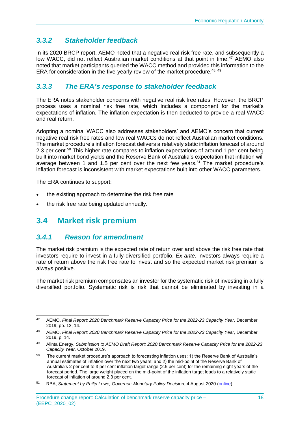# <span id="page-23-0"></span>*3.3.2 Stakeholder feedback*

In its 2020 BRCP report, AEMO noted that a negative real risk free rate, and subsequently a low WACC, did not reflect Australian market conditions at that point in time.<sup>47</sup> AEMO also noted that market participants queried the WACC method and provided this information to the ERA for consideration in the five-yearly review of the market procedure.<sup>48, 49</sup>

# <span id="page-23-1"></span>*3.3.3 The ERA's response to stakeholder feedback*

The ERA notes stakeholder concerns with negative real risk free rates. However, the BRCP process uses a nominal risk free rate, which includes a component for the market's expectations of inflation. The inflation expectation is then deducted to provide a real WACC and real return.

Adopting a nominal WACC also addresses stakeholders' and AEMO's concern that current negative real risk free rates and low real WACCs do not reflect Australian market conditions. The market procedure's inflation forecast delivers a relatively static inflation forecast of around 2.3 per cent.<sup>50</sup> This higher rate compares to inflation expectations of around 1 per cent being built into market bond yields and the Reserve Bank of Australia's expectation that inflation will average between 1 and 1.5 per cent over the next few years.<sup>51</sup> The market procedure's inflation forecast is inconsistent with market expectations built into other WACC parameters.

The ERA continues to support:

- the existing approach to determine the risk free rate
- the risk free rate being updated annually.

# <span id="page-23-2"></span>**3.4 Market risk premium**

### <span id="page-23-3"></span>*3.4.1 Reason for amendment*

The market risk premium is the expected rate of return over and above the risk free rate that investors require to invest in a fully-diversified portfolio. *Ex ante*, investors always require a rate of return above the risk free rate to invest and so the expected market risk premium is always positive.

The market risk premium compensates an investor for the systematic risk of investing in a fully diversified portfolio. Systematic risk is risk that cannot be eliminated by investing in a

<sup>47</sup> AEMO, *Final Report: 2020 Benchmark Reserve Capacity Price for the 2022-23 Capacity Year*, December 2019, pp. 12, 14.

<sup>48</sup> AEMO, *Final Report: 2020 Benchmark Reserve Capacity Price for the 2022-23 Capacity Year*, December 2019, p. 14.

<sup>49</sup> Alinta Energy, *Submission to AEMO Draft Report: 2020 Benchmark Reserve Capacity Price for the 2022-23 Capacity Year,* October 2019.

<sup>&</sup>lt;sup>50</sup> The current market procedure's approach to forecasting inflation uses: 1) the Reserve Bank of Australia's annual estimates of inflation over the next two years; and 2) the mid-point of the Reserve Bank of Australia's 2 per cent to 3 per cent inflation target range (2.5 per cent) for the remaining eight years of the forecast period. The large weight placed on the mid-point of the inflation target leads to a relatively static forecast of inflation of around 2.3 per cent.

<sup>51</sup> RBA, *Statement by Philip Lowe, Governor: Monetary Policy Decision*, 4 August 2020 [\(online\)](https://www.rba.gov.au/media-releases/2020/mr-20-18.html?utm_campaign=monetary-policy-decision-2020-aug&utm_content=media-release&utm_medium=email&utm_source=rbanews).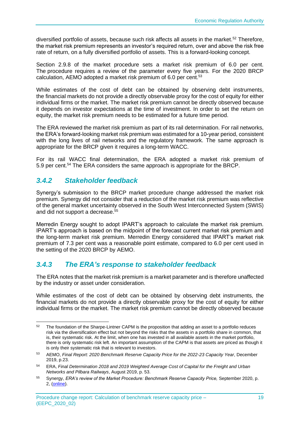diversified portfolio of assets, because such risk affects all assets in the market.<sup>52</sup> Therefore, the market risk premium represents an investor's required return, over and above the risk free rate of return, on a fully diversified portfolio of assets. This is a forward-looking concept.

Section 2.9.8 of the market procedure sets a market risk premium of 6.0 per cent. The procedure requires a review of the parameter every five years. For the 2020 BRCP calculation, AEMO adopted a market risk premium of 6.0 per cent.<sup>53</sup>

While estimates of the cost of debt can be obtained by observing debt instruments, the financial markets do not provide a directly observable proxy for the cost of equity for either individual firms or the market. The market risk premium cannot be directly observed because it depends on investor expectations at the time of investment. In order to set the return on equity, the market risk premium needs to be estimated for a future time period.

The ERA reviewed the market risk premium as part of its rail determination. For rail networks, the ERA's forward-looking market risk premium was estimated for a 10-year period, consistent with the long lives of rail networks and the regulatory framework. The same approach is appropriate for the BRCP given it requires a long-term WACC.

For its rail WACC final determination, the ERA adopted a market risk premium of 5.9 per cent.<sup>54</sup> The ERA considers the same approach is appropriate for the BRCP.

### <span id="page-24-0"></span>*3.4.2 Stakeholder feedback*

Synergy's submission to the BRCP market procedure change addressed the market risk premium. Synergy did not consider that a reduction of the market risk premium was reflective of the general market uncertainty observed in the South West Interconnected System (SWIS) and did not support a decrease.<sup>55</sup>

Merredin Energy sought to adopt IPART's approach to calculate the market risk premium. IPART's approach is based on the midpoint of the forecast current market risk premium and the long-term market risk premium. Merredin Energy considered that IPART's market risk premium of 7.3 per cent was a reasonable point estimate, compared to 6.0 per cent used in the setting of the 2020 BRCP by AEMO.

# <span id="page-24-1"></span>*3.4.3 The ERA's response to stakeholder feedback*

The ERA notes that the market risk premium is a market parameter and is therefore unaffected by the industry or asset under consideration.

While estimates of the cost of debt can be obtained by observing debt instruments, the financial markets do not provide a directly observable proxy for the cost of equity for either individual firms or the market. The market risk premium cannot be directly observed because

<sup>&</sup>lt;sup>52</sup> The foundation of the Sharpe-Lintner CAPM is the proposition that adding an asset to a portfolio reduces risk via the diversification effect but not beyond the risks that the assets in a portfolio share in common, that is, their systematic risk. At the limit, when one has invested in all available assets in the market portfolio, there is only systematic risk left. An important assumption of the CAPM is that assets are priced as though it is only their systematic risk that is relevant to investors.

<sup>53</sup> AEMO, *Final Report: 2020 Benchmark Reserve Capacity Price for the 2022-23 Capacity Year*, December 2019, p.23.

<sup>54</sup> ERA, *Final Determination 2018 and 2019 Weighted Average Cost of Capital for the Freight and Urban Networks and Pilbara Railways*, August 2019, p. 53.

<sup>55</sup> Synergy, *ERA's review of the Market Procedure: Benchmark Reserve Capacity Price,* September 2020, p. 2, [\(online\)](https://www.erawa.com.au/cproot/21424/2/Synergy-feedback-on-the-BRCP.pdf).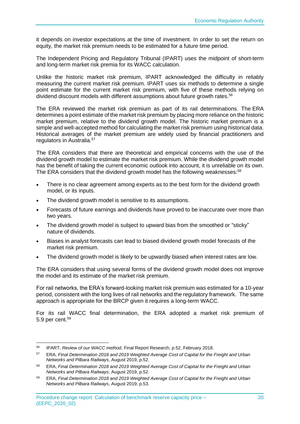it depends on investor expectations at the time of investment. In order to set the return on equity, the market risk premium needs to be estimated for a future time period.

The Independent Pricing and Regulatory Tribunal (IPART) uses the midpoint of short-term and long-term market risk premia for its WACC calculation.

Unlike the historic market risk premium, IPART acknowledged the difficulty in reliably measuring the current market risk premium. IPART uses six methods to determine a single point estimate for the current market risk premium, with five of these methods relying on dividend discount models with different assumptions about future growth rates.<sup>56</sup>

The ERA reviewed the market risk premium as part of its rail determinations. The ERA determines a point estimate of the market risk premium by placing more reliance on the historic market premium, relative to the dividend growth model. The historic market premium is a simple and well-accepted method for calculating the market risk premium using historical data. Historical averages of the market premium are widely used by financial practitioners and regulators in Australia.<sup>57</sup>

The ERA considers that there are theoretical and empirical concerns with the use of the dividend growth model to estimate the market risk premium. While the dividend growth model has the benefit of taking the current economic outlook into account, it is unreliable on its own. The ERA considers that the dividend growth model has the following weaknesses:<sup>58</sup>

- There is no clear agreement among experts as to the best form for the dividend growth model, or its inputs.
- The dividend growth model is sensitive to its assumptions.
- Forecasts of future earnings and dividends have proved to be inaccurate over more than two years.
- The dividend growth model is subject to upward bias from the smoothed or "sticky" nature of dividends.
- Biases in analyst forecasts can lead to biased dividend growth model forecasts of the market risk premium.
- The dividend growth model is likely to be upwardly biased when interest rates are low.

The ERA considers that using several forms of the dividend growth model does not improve the model and its estimate of the market risk premium.

For rail networks, the ERA's forward-looking market risk premium was estimated for a 10-year period, consistent with the long lives of rail networks and the regulatory framework. The same approach is appropriate for the BRCP given it requires a long-term WACC.

For its rail WACC final determination, the ERA adopted a market risk premium of 5.9 per cent.<sup>59</sup>

<sup>56</sup> IPART, *Review of our WACC method*, Final Report Research, p.52, February 2018.

<sup>57</sup> ERA, *Final Determination 2018 and 2019 Weighted Average Cost of Capital for the Freight and Urban Networks and Pilbara Railways*, August 2019, p.52.

<sup>58</sup> ERA, *Final Determination 2018 and 2019 Weighted Average Cost of Capital for the Freight and Urban Networks and Pilbara Railways*, August 2019, p.52.

<sup>59</sup> ERA, *Final Determination 2018 and 2019 Weighted Average Cost of Capital for the Freight and Urban Networks and Pilbara Railways*, August 2019, p.53.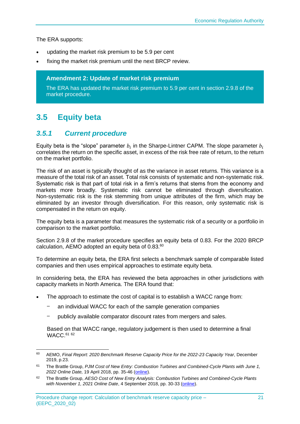The ERA supports:

- updating the market risk premium to be 5.9 per cent
- fixing the market risk premium until the next BRCP review.

**Amendment 2: Update of market risk premium**

The ERA has updated the market risk premium to 5.9 per cent in section 2.9.8 of the market procedure.

# <span id="page-26-0"></span>**3.5 Equity beta**

### <span id="page-26-1"></span>*3.5.1 Current procedure*

Equity beta is the "slope" parameter  $b_i$  in the Sharpe-Lintner CAPM. The slope parameter  $b_i$ correlates the return on the specific asset, in excess of the risk free rate of return, to the return on the market portfolio.

The risk of an asset is typically thought of as the variance in asset returns. This variance is a measure of the total risk of an asset. Total risk consists of systematic and non-systematic risk. Systematic risk is that part of total risk in a firm's returns that stems from the economy and markets more broadly. Systematic risk cannot be eliminated through diversification. Non-systematic risk is the risk stemming from unique attributes of the firm, which may be eliminated by an investor through diversification. For this reason, only systematic risk is compensated in the return on equity.

The equity beta is a parameter that measures the systematic risk of a security or a portfolio in comparison to the market portfolio.

Section 2.9.8 of the market procedure specifies an equity beta of 0.83. For the 2020 BRCP calculation, AEMO adopted an equity beta of 0.83.<sup>60</sup>

To determine an equity beta, the ERA first selects a benchmark sample of comparable listed companies and then uses empirical approaches to estimate equity beta.

In considering beta, the ERA has reviewed the beta approaches in other jurisdictions with capacity markets in North America. The ERA found that:

- The approach to estimate the cost of capital is to establish a WACC range from:
	- an individual WACC for each of the sample generation companies
	- publicly available comparator discount rates from mergers and sales.

Based on that WACC range, regulatory judgement is then used to determine a final WACC. 61 62

<sup>60</sup> AEMO, *Final Report: 2020 Benchmark Reserve Capacity Price for the 2022-23 Capacity Year*, December 2019, p.23.

<sup>61</sup> The Brattle Group, *PJM Cost of New Entry: Combustion Turbines and Combined-Cycle Plants with June 1, 2022 Online Date,* 19 April 2018, pp. 35-46 [\(online\)](https://www.pjm.com/~/media/committees-groups/committees/mic/20180425-special/20180425-pjm-2018-cost-of-new-entry-study.ashx).

<sup>62</sup> The Brattle Group, *AESO Cost of New Entry Analysis: Combustion Turbines and Combined-Cycle Plants with November 1, 2021 Online Date*, 4 September 2018, pp. 30-33 [\(online\)](https://www.aeso.ca/assets/Uploads/CONE-Study-2018-09-04.pdf).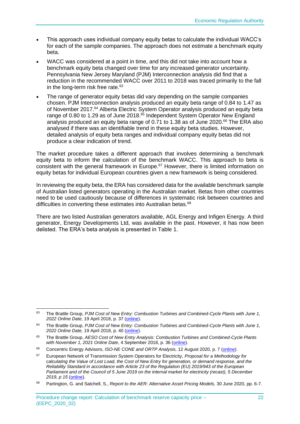- This approach uses individual company equity betas to calculate the individual WACC's for each of the sample companies. The approach does not estimate a benchmark equity beta.
- WACC was considered at a point in time, and this did not take into account how a benchmark equity beta changed over time for any increased generator uncertainty. Pennsylvania New Jersey Maryland (PJM) Interconnection analysis did find that a reduction in the recommended WACC over 2011 to 2018 was traced primarily to the fall in the long-term risk free rate.<sup>63</sup>
- The range of generator equity betas did vary depending on the sample companies chosen. PJM Interconnection analysis produced an equity beta range of 0.84 to 1.47 as of November 2017.<sup>64</sup> Alberta Electric System Operator analysis produced an equity beta range of 0.80 to 1.29 as of June 2018.<sup>65</sup> Independent System Operator New England analysis produced an equity beta range of 0.71 to 1.38 as of June 2020.<sup>66</sup> The ERA also analysed if there was an identifiable trend in these equity beta studies. However, detailed analysis of equity beta ranges and individual company equity betas did not produce a clear indication of trend.

The market procedure takes a different approach that involves determining a benchmark equity beta to inform the calculation of the benchmark WACC. This approach to beta is consistent with the general framework in Europe.<sup>67</sup> However, there is limited information on equity betas for individual European countries given a new framework is being considered.

In reviewing the equity beta, the ERA has considered data for the available benchmark sample of Australian listed generators operating in the Australian market. Betas from other countries need to be used cautiously because of differences in systematic risk between countries and difficulties in converting these estimates into Australian betas.<sup>68</sup>

There are two listed Australian generators available, AGL Energy and Infigen Energy. A third generator, Energy Developments Ltd, was available in the past. However, it has now been delisted. The ERA's beta analysis is presented in [Table 1.](#page-28-1)

<sup>63</sup> The Brattle Group, *PJM Cost of New Entry: Combustion Turbines and Combined-Cycle Plants with June 1, 2022 Online Date,* 19 April 2018, p. 37 [\(online\)](https://www.pjm.com/~/media/committees-groups/committees/mic/20180425-special/20180425-pjm-2018-cost-of-new-entry-study.ashx).

<sup>64</sup> The Brattle Group, *PJM Cost of New Entry: Combustion Turbines and Combined-Cycle Plants with June 1, 2022 Online Date,* 19 April 2018, p. 40 [\(online\)](https://www.pjm.com/~/media/committees-groups/committees/mic/20180425-special/20180425-pjm-2018-cost-of-new-entry-study.ashx).

<sup>65</sup> The Brattle Group, *AESO Cost of New Entry Analysis: Combustion Turbines and Combined-Cycle Plants with November 1, 2021 Online Date*, 4 September 2018, p. 36 [\(online\)](https://www.aeso.ca/assets/Uploads/CONE-Study-2018-09-04.pdf).

<sup>66</sup> Concentric Energy Advisors, *ISO-NE CONE and ORTP Analysis,* 12 August 2020, p. 7 [\(online\)](https://www.iso-ne.com/static-assets/documents/2020/08/a4_a_iii_cea_presentation_cone_and_ortp_analysis.pdf).

<sup>67</sup> European Network of Transmission System Operators for Electricity, *Proposal for a Methodology for calculating the Value of Lost Load, the Cost of New Entry for generation, or demand response, and the Reliability Standard in accordance with Article 23 of the Regulation (EU) 2019/943 of the European Parliament and of the Council of 5 June 2019 on the internal market for electricity (recast), 5 December 2019, p 15* [\(online\)](https://consultations.entsoe.eu/entso-e-general/proposal-for-voll-cone-and-reliability-standard-me/supporting_documents/191205_Methodology%20for%20VoLL%20CONE%20and%20reliability%20standard_public%20consultation.pdf)*.*

<sup>68</sup> Partington, G. and Satchell, S., *Report to the AER: Alternative Asset Pricing Models,* 30 June 2020, pp. 6-7.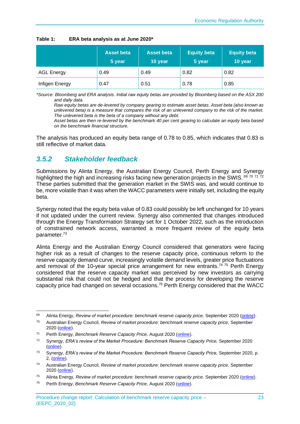|                   | <b>Asset beta</b><br>5 year | <b>Asset beta</b><br>10 year | <b>Equity beta</b><br>5 year | <b>Equity beta</b><br>10 year |
|-------------------|-----------------------------|------------------------------|------------------------------|-------------------------------|
| <b>AGL Energy</b> | 0.49                        | 0.49                         | 0.82                         | 0.82                          |
| Infigen Energy    | 0.47                        | 0.51                         | 0.78                         | 0.85                          |

<span id="page-28-1"></span>

*\*Source: Bloomberg and ERA analysis. Initial raw equity betas are provided by Bloomberg based on the ASX 200 and daily data.*

*Raw equity betas are de-levered by company gearing to estimate asset betas. Asset beta (also known as unlevered beta) is a measure that compares the risk of an unlevered company to the risk of the market. The unlevered beta is the beta of a company without any debt.*

*Asset betas are then re-levered by the benchmark 40 per cent gearing to calculate an equity beta based on the benchmark financial structure.*

The analysis has produced an equity beta range of 0.78 to 0.85, which indicates that 0.83 is still reflective of market data.

### <span id="page-28-0"></span>*3.5.2 Stakeholder feedback*

Submissions by Alinta Energy, the Australian Energy Council, Perth Energy and Synergy highlighted the high and increasing risks facing new generation projects in the SWIS. 69 70 71 72 These parties submitted that the generation market in the SWIS was, and would continue to be, more volatile than it was when the WACC parameters were initially set, including the equity beta.

Synergy noted that the equity beta value of 0.83 could possibly be left unchanged for 10 years if not updated under the current review. Synergy also commented that changes introduced through the Energy Transformation Strategy set for 1 October 2022, such as the introduction of constrained network access, warranted a more frequent review of the equity beta parameter.<sup>73</sup>

Alinta Energy and the Australian Energy Council considered that generators were facing higher risk as a result of changes to the reserve capacity price, continuous reform to the reserve capacity demand curve, increasingly volatile demand levels, greater price fluctuations and removal of the 10-year special price arrangement for new entrants.<sup>74 75</sup> Perth Energy considered that the reserve capacity market was perceived by new investors as carrying substantial risk that could not be hedged and that the process for developing the reserve capacity price had changed on several occasions.<sup>76</sup> Perth Energy considered that the WACC

<sup>&</sup>lt;sup>69</sup> Alinta Energy, *Review of market procedure: benchmark reserve capacity price, September 2020 [\(online\)](https://www.erawa.com.au/cproot/21425/2/Alinta-Energy-submission---ERA-BRCP-Market-Procedure-Review_Redacted.pdf).* 

<sup>70</sup> Australian Energy Council, *Review of market procedure: benchmark reserve capacity price,* September 2020 [\(online\)](https://www.erawa.com.au/cproot/21423/2/AEC-feedback-on-the-BRCP.pdf).

<sup>71</sup> Perth Energy, *Benchmark Reserve Capacity Price,* August 2020 [\(online\)](https://www.erawa.com.au/cproot/21416/2/2020-Aug-26---Perth-Energy-Submission-on-BRCP_Redacted.pdf).

<sup>72</sup> Synergy, *ERA's review of the Market Procedure: Benchmark Reserve Capacity Price,* September 2020 [\(online\)](https://www.erawa.com.au/cproot/21424/2/Synergy-feedback-on-the-BRCP.pdf).

<sup>73</sup> Synergy, *ERA's review of the Market Procedure: Benchmark Reserve Capacity Price,* September 2020, p. 2, [\(online\)](https://www.erawa.com.au/cproot/21424/2/Synergy-feedback-on-the-BRCP.pdf).

<sup>74</sup> Australian Energy Council, *Review of market procedure: benchmark reserve capacity price,* September 2020 [\(online\)](https://www.erawa.com.au/cproot/21423/2/AEC-feedback-on-the-BRCP.pdf).

<sup>75</sup> Alinta Energy, *Review of market procedure: benchmark reserve capacity price,* September 2020 [\(online\)](https://www.erawa.com.au/cproot/21425/2/Alinta-Energy-submission---ERA-BRCP-Market-Procedure-Review_Redacted.pdf).

<sup>76</sup> Perth Energy, *Benchmark Reserve Capacity Price,* August 2020 [\(online\)](https://www.erawa.com.au/cproot/21416/2/2020-Aug-26---Perth-Energy-Submission-on-BRCP_Redacted.pdf).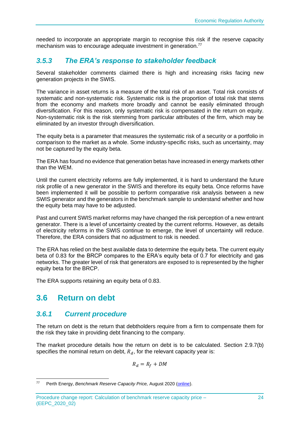needed to incorporate an appropriate margin to recognise this risk if the reserve capacity mechanism was to encourage adequate investment in generation.<sup>77</sup>

## <span id="page-29-0"></span>*3.5.3 The ERA's response to stakeholder feedback*

Several stakeholder comments claimed there is high and increasing risks facing new generation projects in the SWIS.

The variance in asset returns is a measure of the total risk of an asset. Total risk consists of systematic and non-systematic risk. Systematic risk is the proportion of total risk that stems from the economy and markets more broadly and cannot be easily eliminated through diversification. For this reason, only systematic risk is compensated in the return on equity. Non-systematic risk is the risk stemming from particular attributes of the firm, which may be eliminated by an investor through diversification.

The equity beta is a parameter that measures the systematic risk of a security or a portfolio in comparison to the market as a whole. Some industry-specific risks, such as uncertainty, may not be captured by the equity beta.

The ERA has found no evidence that generation betas have increased in energy markets other than the WEM.

Until the current electricity reforms are fully implemented, it is hard to understand the future risk profile of a new generator in the SWIS and therefore its equity beta. Once reforms have been implemented it will be possible to perform comparative risk analysis between a new SWIS generator and the generators in the benchmark sample to understand whether and how the equity beta may have to be adjusted.

Past and current SWIS market reforms may have changed the risk perception of a new entrant generator. There is a level of uncertainty created by the current reforms. However, as details of electricity reforms in the SWIS continue to emerge, the level of uncertainty will reduce. Therefore, the ERA considers that no adjustment to risk is needed.

The ERA has relied on the best available data to determine the equity beta. The current equity beta of 0.83 for the BRCP compares to the ERA's equity beta of 0.7 for electricity and gas networks. The greater level of risk that generators are exposed to is represented by the higher equity beta for the BRCP.

The ERA supports retaining an equity beta of 0.83.

# <span id="page-29-1"></span>**3.6 Return on debt**

### <span id="page-29-2"></span>*3.6.1 Current procedure*

The return on debt is the return that debtholders require from a firm to compensate them for the risk they take in providing debt financing to the company.

The market procedure details how the return on debt is to be calculated. Section 2.9.7(b) specifies the nominal return on debt,  $R_d$ , for the relevant capacity year is:

$$
R_d = R_f + DM
$$

<sup>77</sup> Perth Energy, *Benchmark Reserve Capacity Price,* August 2020 [\(online\)](https://www.erawa.com.au/cproot/21416/2/2020-Aug-26---Perth-Energy-Submission-on-BRCP_Redacted.pdf).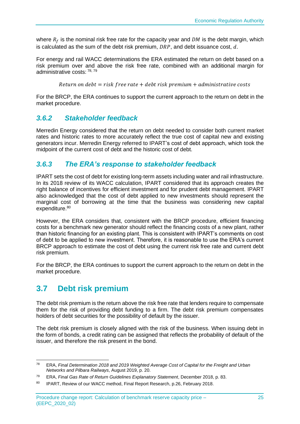where  $R_f$  is the nominal risk free rate for the capacity year and  $DM$  is the debt margin, which is calculated as the sum of the debt risk premium,  $DRP$ , and debt issuance cost,  $d$ .

For energy and rail WACC determinations the ERA estimated the return on debt based on a risk premium over and above the risk free rate, combined with an additional margin for administrative costs: 78, 79

Return on debt = risk free rate + debt risk premium + administrative costs

For the BRCP, the ERA continues to support the current approach to the return on debt in the market procedure.

### <span id="page-30-0"></span>*3.6.2 Stakeholder feedback*

Merredin Energy considered that the return on debt needed to consider both current market rates and historic rates to more accurately reflect the true cost of capital new and existing generators incur. Merredin Energy referred to IPART's cost of debt approach, which took the midpoint of the current cost of debt and the historic cost of debt.

# <span id="page-30-1"></span>*3.6.3 The ERA's response to stakeholder feedback*

IPART sets the cost of debt for existing long-term assets including water and rail infrastructure. In its 2018 review of its WACC calculation, IPART considered that its approach creates the right balance of incentives for efficient investment and for prudent debt management. IPART also acknowledged that the cost of debt applied to new investments should represent the marginal cost of borrowing at the time that the business was considering new capital expenditure.<sup>80</sup>

However, the ERA considers that, consistent with the BRCP procedure, efficient financing costs for a benchmark new generator should reflect the financing costs of a new plant, rather than historic financing for an existing plant. This is consistent with IPART's comments on cost of debt to be applied to new investment. Therefore, it is reasonable to use the ERA's current BRCP approach to estimate the cost of debt using the current risk free rate and current debt risk premium.

For the BRCP, the ERA continues to support the current approach to the return on debt in the market procedure.

# <span id="page-30-2"></span>**3.7 Debt risk premium**

The debt risk premium is the return above the risk free rate that lenders require to compensate them for the risk of providing debt funding to a firm. The debt risk premium compensates holders of debt securities for the possibility of default by the issuer.

The debt risk premium is closely aligned with the risk of the business. When issuing debt in the form of bonds, a credit rating can be assigned that reflects the probability of default of the issuer, and therefore the risk present in the bond.

<sup>78</sup> ERA, *Final Determination 2018 and 2019 Weighted Average Cost of Capital for the Freight and Urban Networks and Pilbara Railways*, August 2019, p. 20.

<sup>79</sup> ERA, *Final Gas Rate of Return Guidelines Explanatory Statement*, December 2018, p. 83.

<sup>80</sup> IPART, Review of our WACC method, Final Report Research, p.26, February 2018.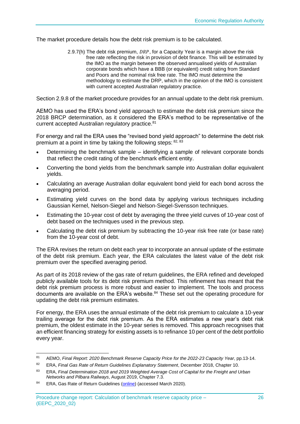The market procedure details how the debt risk premium is to be calculated.

2.9.7(h) The debt risk premium,  $DRP$ , for a Capacity Year is a margin above the risk free rate reflecting the risk in provision of debt finance. This will be estimated by the IMO as the margin between the observed annualised yields of Australian corporate bonds which have a BBB (or equivalent) credit rating from Standard and Poors and the nominal risk free rate. The IMO must determine the methodology to estimate the DRP, which in the opinion of the IMO is consistent with current accepted Australian regulatory practice.

Section 2.9.8 of the market procedure provides for an annual update to the debt risk premium.

AEMO has used the ERA's bond yield approach to estimate the debt risk premium since the 2018 BRCP determination, as it considered the ERA's method to be representative of the current accepted Australian regulatory practice.<sup>81</sup>

For energy and rail the ERA uses the "revised bond yield approach" to determine the debt risk premium at a point in time by taking the following steps: 82, 83

- Determining the benchmark sample identifying a sample of relevant corporate bonds that reflect the credit rating of the benchmark efficient entity.
- Converting the bond yields from the benchmark sample into Australian dollar equivalent yields.
- Calculating an average Australian dollar equivalent bond yield for each bond across the averaging period.
- Estimating yield curves on the bond data by applying various techniques including Gaussian Kernel, Nelson-Siegel and Nelson-Siegel-Svensson techniques.
- Estimating the 10-year cost of debt by averaging the three yield curves of 10-year cost of debt based on the techniques used in the previous step.
- Calculating the debt risk premium by subtracting the 10-year risk free rate (or base rate) from the 10-year cost of debt.

The ERA revises the return on debt each year to incorporate an annual update of the estimate of the debt risk premium. Each year, the ERA calculates the latest value of the debt risk premium over the specified averaging period.

As part of its 2018 review of the gas rate of return guidelines, the ERA refined and developed publicly available tools for its debt risk premium method. This refinement has meant that the debt risk premium process is more robust and easier to implement. The tools and process documents are available on the ERA's website.<sup>84</sup> These set out the operating procedure for updating the debt risk premium estimates.

For energy, the ERA uses the annual estimate of the debt risk premium to calculate a 10-year trailing average for the debt risk premium. As the ERA estimates a new year's debt risk premium, the oldest estimate in the 10-year series is removed. This approach recognises that an efficient financing strategy for existing assets is to refinance 10 per cent of the debt portfolio every year.

<sup>81</sup> AEMO, *Final Report: 2020 Benchmark Reserve Capacity Price for the 2022-23 Capacity Year*, pp.13-14.

<sup>82</sup> ERA, *Final Gas Rate of Return Guidelines Explanatory Statement*, December 2018, Chapter 10.

<sup>83</sup> ERA, *Final Determination 2018 and 2019 Weighted Average Cost of Capital for the Freight and Urban Networks and Pilbara Railways*, August 2019, Chapter 7.3.

<sup>84</sup> ERA, Gas Rate of Return Guidelines [\(online\)](https://www.erawa.com.au/gas/gas-access/guidelines/gas-rate-of-return-guidelines) (accessed March 2020).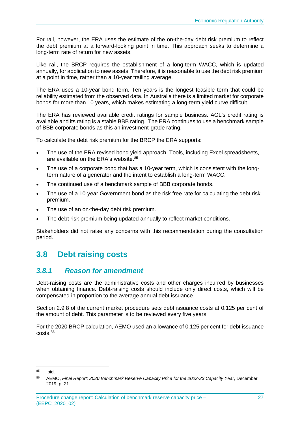For rail, however, the ERA uses the estimate of the on-the-day debt risk premium to reflect the debt premium at a forward-looking point in time. This approach seeks to determine a long-term rate of return for new assets.

Like rail, the BRCP requires the establishment of a long-term WACC, which is updated annually, for application to new assets. Therefore, it is reasonable to use the debt risk premium at a point in time, rather than a 10-year trailing average.

The ERA uses a 10-year bond term. Ten years is the longest feasible term that could be reliability estimated from the observed data. In Australia there is a limited market for corporate bonds for more than 10 years, which makes estimating a long-term yield curve difficult.

The ERA has reviewed available credit ratings for sample business. AGL's credit rating is available and its rating is a stable BBB rating. The ERA continues to use a benchmark sample of BBB corporate bonds as this an investment-grade rating.

To calculate the debt risk premium for the BRCP the ERA supports:

- The use of the ERA revised bond yield approach. Tools, including Excel spreadsheets, are available on the ERA's website.<sup>85</sup>
- The use of a corporate bond that has a 10-year term, which is consistent with the longterm nature of a generator and the intent to establish a long-term WACC.
- The continued use of a benchmark sample of BBB corporate bonds.
- The use of a 10-year Government bond as the risk free rate for calculating the debt risk premium.
- The use of an on-the-day debt risk premium.
- The debt risk premium being updated annually to reflect market conditions.

Stakeholders did not raise any concerns with this recommendation during the consultation period.

# <span id="page-32-0"></span>**3.8 Debt raising costs**

### <span id="page-32-1"></span>*3.8.1 Reason for amendment*

Debt-raising costs are the administrative costs and other charges incurred by businesses when obtaining finance. Debt-raising costs should include only direct costs, which will be compensated in proportion to the average annual debt issuance.

Section 2.9.8 of the current market procedure sets debt issuance costs at 0.125 per cent of the amount of debt. This parameter is to be reviewed every five years.

For the 2020 BRCP calculation, AEMO used an allowance of 0.125 per cent for debt issuance costs.<sup>86</sup>

<sup>85</sup> Ibid.

<sup>86</sup> AEMO, *Final Report: 2020 Benchmark Reserve Capacity Price for the 2022-23 Capacity Year*, December 2019, p. 21.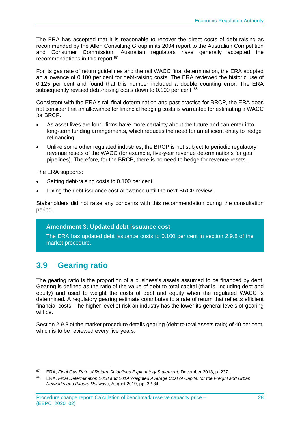The ERA has accepted that it is reasonable to recover the direct costs of debt-raising as recommended by the Allen Consulting Group in its 2004 report to the Australian Competition and Consumer Commission. Australian regulators have generally accepted the recommendations in this report.<sup>87</sup>

For its gas rate of return guidelines and the rail WACC final determination, the ERA adopted an allowance of 0.100 per cent for debt-raising costs. The ERA reviewed the historic use of 0.125 per cent and found that this number included a double counting error. The ERA subsequently revised debt-raising costs down to 0.100 per cent. 88

Consistent with the ERA's rail final determination and past practice for BRCP, the ERA does not consider that an allowance for financial hedging costs is warranted for estimating a WACC for BRCP.

- As asset lives are long, firms have more certainty about the future and can enter into long-term funding arrangements, which reduces the need for an efficient entity to hedge refinancing.
- Unlike some other regulated industries, the BRCP is not subject to periodic regulatory revenue resets of the WACC (for example, five-year revenue determinations for gas pipelines). Therefore, for the BRCP, there is no need to hedge for revenue resets.

The ERA supports:

- Setting debt-raising costs to 0.100 per cent.
- Fixing the debt issuance cost allowance until the next BRCP review.

Stakeholders did not raise any concerns with this recommendation during the consultation period.

#### **Amendment 3: Updated debt issuance cost**

The ERA has updated debt issuance costs to 0.100 per cent in section 2.9.8 of the market procedure.

# <span id="page-33-0"></span>**3.9 Gearing ratio**

The gearing ratio is the proportion of a business's assets assumed to be financed by debt. Gearing is defined as the ratio of the value of debt to total capital (that is, including debt and equity) and used to weight the costs of debt and equity when the regulated WACC is determined. A regulatory gearing estimate contributes to a rate of return that reflects efficient financial costs. The higher level of risk an industry has the lower its general levels of gearing will be.

Section 2.9.8 of the market procedure details gearing (debt to total assets ratio) of 40 per cent, which is to be reviewed every five years.

<sup>87</sup> ERA, *Final Gas Rate of Return Guidelines Explanatory Statement*, December 2018, p. 237.

<sup>88</sup> ERA, *Final Determination 2018 and 2019 Weighted Average Cost of Capital for the Freight and Urban Networks and Pilbara Railways*, August 2019, pp. 32-34.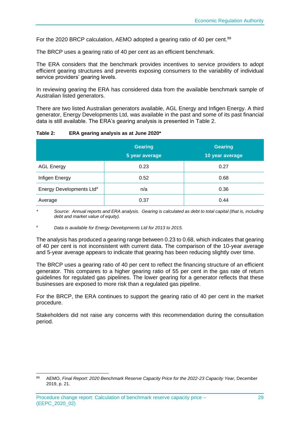For the 2020 BRCP calculation, AEMO adopted a gearing ratio of 40 per cent.<sup>89</sup>

The BRCP uses a gearing ratio of 40 per cent as an efficient benchmark.

The ERA considers that the benchmark provides incentives to service providers to adopt efficient gearing structures and prevents exposing consumers to the variability of individual service providers' gearing levels.

In reviewing gearing the ERA has considered data from the available benchmark sample of Australian listed generators.

There are two listed Australian generators available, AGL Energy and Infigen Energy. A third generator, Energy Developments Ltd, was available in the past and some of its past financial data is still available. The ERA's gearing analysis is presented in [Table 2.](#page-34-0)

<span id="page-34-0"></span>

| Table 2: |  | ERA gearing analysis as at June 2020* |  |  |
|----------|--|---------------------------------------|--|--|
|          |  |                                       |  |  |

|                                      | <b>Gearing</b><br>5 year average | <b>Gearing</b><br>10 year average |
|--------------------------------------|----------------------------------|-----------------------------------|
| <b>AGL Energy</b>                    | 0.23                             | 0.27                              |
| Infigen Energy                       | 0.52                             | 0.68                              |
| Energy Developments Ltd <sup>#</sup> | n/a                              | 0.36                              |
| Average                              | 0.37                             | 0.44                              |

*\* Source: Annual reports and ERA analysis. Gearing is calculated as debt to total capital (that is, including debt and market value of equity).*

*# Data is available for Energy Developments Ltd for 2013 to 2015.*

The analysis has produced a gearing range between 0.23 to 0.68, which indicates that gearing of 40 per cent is not inconsistent with current data. The comparison of the 10-year average and 5-year average appears to indicate that gearing has been reducing slightly over time.

The BRCP uses a gearing ratio of 40 per cent to reflect the financing structure of an efficient generator. This compares to a higher gearing ratio of 55 per cent in the gas rate of return guidelines for regulated gas pipelines. The lower gearing for a generator reflects that these businesses are exposed to more risk than a regulated gas pipeline.

For the BRCP, the ERA continues to support the gearing ratio of 40 per cent in the market procedure.

Stakeholders did not raise any concerns with this recommendation during the consultation period.

<sup>89</sup> AEMO, *Final Report: 2020 Benchmark Reserve Capacity Price for the 2022-23 Capacity Year*, December 2019, p. 21.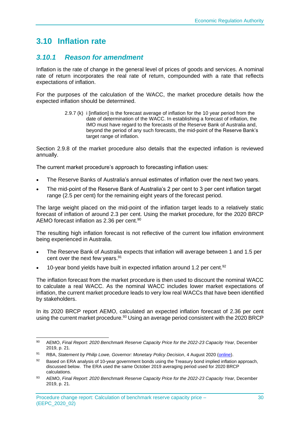# <span id="page-35-0"></span>**3.10 Inflation rate**

# <span id="page-35-1"></span>*3.10.1 Reason for amendment*

Inflation is the rate of change in the general level of prices of goods and services. A nominal rate of return incorporates the real rate of return, compounded with a rate that reflects expectations of inflation.

For the purposes of the calculation of the WACC, the market procedure details how the expected inflation should be determined.

> 2.9.7 (k) i linflation] is the forecast average of inflation for the 10 year period from the date of determination of the WACC. In establishing a forecast of inflation, the IMO must have regard to the forecasts of the Reserve Bank of Australia and, beyond the period of any such forecasts, the mid-point of the Reserve Bank's target range of inflation.

Section 2.9.8 of the market procedure also details that the expected inflation is reviewed annually.

The current market procedure's approach to forecasting inflation uses:

- The Reserve Banks of Australia's annual estimates of inflation over the next two years.
- The mid-point of the Reserve Bank of Australia's 2 per cent to 3 per cent inflation target range (2.5 per cent) for the remaining eight years of the forecast period.

The large weight placed on the mid-point of the inflation target leads to a relatively static forecast of inflation of around 2.3 per cent. Using the market procedure, for the 2020 BRCP AEMO forecast inflation as 2.36 per cent.<sup>90</sup>

The resulting high inflation forecast is not reflective of the current low inflation environment being experienced in Australia.

- The Reserve Bank of Australia expects that inflation will average between 1 and 1.5 per cent over the next few years.<sup>91</sup>
- 10-year bond yields have built in expected inflation around 1.2 per cent.<sup>92</sup>

The inflation forecast from the market procedure is then used to discount the nominal WACC to calculate a real WACC. As the nominal WACC includes lower market expectations of inflation, the current market procedure leads to very low real WACCs that have been identified by stakeholders.

In its 2020 BRCP report AEMO, calculated an expected inflation forecast of 2.36 per cent using the current market procedure.<sup>93</sup> Using an average period consistent with the 2020 BRCP

<sup>90</sup> AEMO, *Final Report: 2020 Benchmark Reserve Capacity Price for the 2022-23 Capacity Year*, December 2019, p. 21.

<sup>91</sup> RBA, *Statement by Philip Lowe, Governor: Monetary Policy Decision*, 4 August 2020 [\(online\)](https://www.rba.gov.au/media-releases/2020/mr-20-18.html?utm_campaign=monetary-policy-decision-2020-aug&utm_content=media-release&utm_medium=email&utm_source=rbanews).

<sup>92</sup> Based on ERA analysis of 10-year government bonds using the Treasury bond implied inflation approach, discussed below. The ERA used the same October 2019 averaging period used for 2020 BRCP calculations.

<sup>93</sup> AEMO, *Final Report: 2020 Benchmark Reserve Capacity Price for the 2022-23 Capacity Year*, December 2019, p. 21.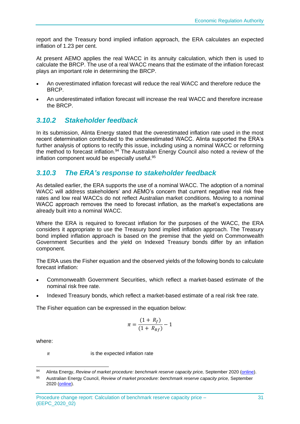report and the Treasury bond implied inflation approach, the ERA calculates an expected inflation of 1.23 per cent.

At present AEMO applies the real WACC in its annuity calculation, which then is used to calculate the BRCP. The use of a real WACC means that the estimate of the inflation forecast plays an important role in determining the BRCP.

- An overestimated inflation forecast will reduce the real WACC and therefore reduce the BRCP.
- An underestimated inflation forecast will increase the real WACC and therefore increase the BRCP.

# <span id="page-36-0"></span>*3.10.2 Stakeholder feedback*

In its submission, Alinta Energy stated that the overestimated inflation rate used in the most recent determination contributed to the underestimated WACC. Alinta supported the ERA's further analysis of options to rectify this issue, including using a nominal WACC or reforming the method to forecast inflation.<sup>94</sup> The Australian Energy Council also noted a review of the inflation component would be especially useful.<sup>95</sup>

# <span id="page-36-1"></span>*3.10.3 The ERA's response to stakeholder feedback*

As detailed earlier, the ERA supports the use of a nominal WACC. The adoption of a nominal WACC will address stakeholders' and AEMO's concern that current negative real risk free rates and low real WACCs do not reflect Australian market conditions. Moving to a nominal WACC approach removes the need to forecast inflation, as the market's expectations are already built into a nominal WACC.

Where the ERA is required to forecast inflation for the purposes of the WACC, the ERA considers it appropriate to use the Treasury bond implied inflation approach. The Treasury bond implied inflation approach is based on the premise that the yield on Commonwealth Government Securities and the yield on Indexed Treasury bonds differ by an inflation component.

The ERA uses the Fisher equation and the observed yields of the following bonds to calculate forecast inflation:

- Commonwealth Government Securities, which reflect a market-based estimate of the nominal risk free rate.
- Indexed Treasury bonds, which reflect a market-based estimate of a real risk free rate.

The Fisher equation can be expressed in the equation below:

$$
\pi = \frac{(1 + R_f)}{(1 + R_{Rf})} - 1
$$

where:

 $\pi$  is the expected inflation rate

<sup>94</sup> Alinta Energy, *Review of market procedure: benchmark reserve capacity price, September 2020* (*online*).

<sup>95</sup> Australian Energy Council, *Review of market procedure: benchmark reserve capacity price,* September 2020 [\(online\)](https://www.erawa.com.au/cproot/21423/2/AEC-feedback-on-the-BRCP.pdf).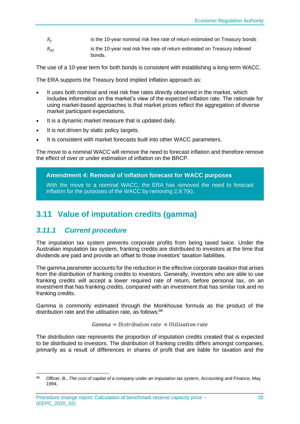- $R_f$  is the 10-year nominal risk free rate of return estimated on Treasury bonds
- $R_{\text{RF}}$  is the 10-year real risk free rate of return estimated on Treasury indexed bonds.

The use of a 10-year term for both bonds is consistent with establishing a long-term WACC.

The ERA supports the Treasury bond implied inflation approach as:

- It uses both nominal and real risk free rates directly observed in the market, which includes information on the market's view of the expected inflation rate. The rationale for using market-based approaches is that market prices reflect the aggregation of diverse market participant expectations.
- It is a dynamic market measure that is updated daily.
- It is not driven by static policy targets.
- It is consistent with market forecasts built into other WACC parameters.

The move to a nominal WACC will remove the need to forecast inflation and therefore remove the effect of over or under estimation of inflation on the BRCP.

#### **Amendment 4: Removal of inflation forecast for WACC purposes**

With the move to a nominal WACC, the ERA has removed the need to forecast inflation for the purposes of the WACC by removing 2.9.7(k).

# <span id="page-37-0"></span>**3.11 Value of imputation credits (gamma)**

### <span id="page-37-1"></span>*3.11.1 Current procedure*

The imputation tax system prevents corporate profits from being taxed twice. Under the Australian imputation tax system, franking credits are distributed to investors at the time that dividends are paid and provide an offset to those investors' taxation liabilities.

The gamma parameter accounts for the reduction in the effective corporate taxation that arises from the distribution of franking credits to investors. Generally, investors who are able to use franking credits will accept a lower required rate of return, before personal tax, on an investment that has franking credits, compared with an investment that has similar risk and no franking credits.

Gamma is commonly estimated through the Monkhouse formula as the product of the distribution rate and the utilisation rate, as follows: 96

#### $Gamma = Distribution rate \times Utilisation rate$

The distribution rate represents the proportion of imputation credits created that is expected to be distributed to investors. The distribution of franking credits differs amongst companies, primarily as a result of differences in shares of profit that are liable for taxation and the

<sup>96</sup> Officer, B., *The cost of capital of a company under an imputation tax syste*m, Accounting and Finance, May 1994.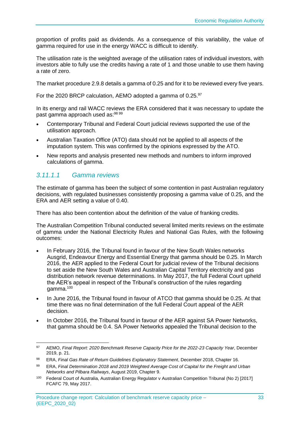proportion of profits paid as dividends. As a consequence of this variability, the value of gamma required for use in the energy WACC is difficult to identify.

The utilisation rate is the weighted average of the utilisation rates of individual investors, with investors able to fully use the credits having a rate of 1 and those unable to use them having a rate of zero.

The market procedure 2.9.8 details a gamma of 0.25 and for it to be reviewed every five years.

For the 2020 BRCP calculation, AEMO adopted a gamma of 0.25.97

In its energy and rail WACC reviews the ERA considered that it was necessary to update the past gamma approach used as:<sup>98 99</sup>

- Contemporary Tribunal and Federal Court judicial reviews supported the use of the utilisation approach.
- Australian Taxation Office (ATO) data should not be applied to all aspects of the imputation system. This was confirmed by the opinions expressed by the ATO.
- New reports and analysis presented new methods and numbers to inform improved calculations of gamma.

## *3.11.1.1 Gamma reviews*

The estimate of gamma has been the subject of some contention in past Australian regulatory decisions, with regulated businesses consistently proposing a gamma value of 0.25, and the ERA and AER setting a value of 0.40.

There has also been contention about the definition of the value of franking credits.

The Australian Competition Tribunal conducted several limited merits reviews on the estimate of gamma under the National Electricity Rules and National Gas Rules, with the following outcomes:

- In February 2016, the Tribunal found in favour of the New South Wales networks Ausgrid, Endeavour Energy and Essential Energy that gamma should be 0.25. In March 2016, the AER applied to the Federal Court for judicial review of the Tribunal decisions to set aside the New South Wales and Australian Capital Territory electricity and gas distribution network revenue determinations. In May 2017, the full Federal Court upheld the AER's appeal in respect of the Tribunal's construction of the rules regarding gamma.<sup>100</sup>
- In June 2016, the Tribunal found in favour of ATCO that gamma should be 0.25. At that time there was no final determination of the full Federal Court appeal of the AER decision.
- In October 2016, the Tribunal found in favour of the AER against SA Power Networks, that gamma should be 0.4. SA Power Networks appealed the Tribunal decision to the

<sup>97</sup> AEMO, *Final Report: 2020 Benchmark Reserve Capacity Price for the 2022-23 Capacity Year*, December 2019, p. 21.

<sup>98</sup> ERA, *Final Gas Rate of Return Guidelines Explanatory Statement*, December 2018, Chapter 16.

<sup>99</sup> ERA, *Final Determination 2018 and 2019 Weighted Average Cost of Capital for the Freight and Urban Networks and Pilbara Railways*, August 2019, Chapter 9.

<sup>100</sup> Federal Court of Australia, Australian Energy Regulator v Australian Competition Tribunal (No 2) [2017] FCAFC 79, May 2017.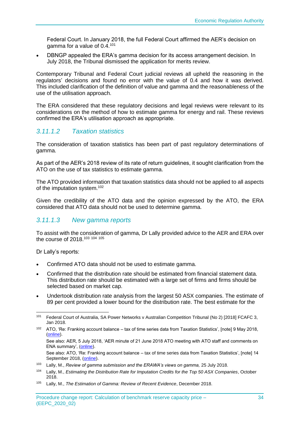Federal Court. In January 2018, the full Federal Court affirmed the AER's decision on gamma for a value of 0.4.<sup>101</sup>

• DBNGP appealed the ERA's gamma decision for its access arrangement decision. In July 2018, the Tribunal dismissed the application for merits review.

Contemporary Tribunal and Federal Court judicial reviews all upheld the reasoning in the regulators' decisions and found no error with the value of 0.4 and how it was derived. This included clarification of the definition of value and gamma and the reasonableness of the use of the utilisation approach.

The ERA considered that these regulatory decisions and legal reviews were relevant to its considerations on the method of how to estimate gamma for energy and rail. These reviews confirmed the ERA's utilisation approach as appropriate.

### *3.11.1.2 Taxation statistics*

The consideration of taxation statistics has been part of past regulatory determinations of gamma.

As part of the AER's 2018 review of its rate of return guidelines, it sought clarification from the ATO on the use of tax statistics to estimate gamma.

The ATO provided information that taxation statistics data should not be applied to all aspects of the imputation system.<sup>102</sup>

Given the credibility of the ATO data and the opinion expressed by the ATO, the ERA considered that ATO data should not be used to determine gamma.

#### *3.11.1.3 New gamma reports*

To assist with the consideration of gamma, Dr Lally provided advice to the AER and ERA over the course of 2018.<sup>103</sup> <sup>104</sup> <sup>105</sup>

Dr Lally's reports:

- Confirmed ATO data should not be used to estimate gamma.
- Confirmed that the distribution rate should be estimated from financial statement data. This distribution rate should be estimated with a large set of firms and firms should be selected based on market cap.
- Undertook distribution rate analysis from the largest 50 ASX companies. The estimate of 89 per cent provided a lower bound for the distribution rate. The best estimate for the

<sup>102</sup> ATO, 'Re: Franking account balance – tax of time series data from Taxation Statistics', [note] 9 May 2018, [\(online\)](https://www.aer.gov.au/system/files/ATO%20Note%20to%20AER%20regarding%20imputation%20-%209%20May%202018.pdf).

See also: AER, 5 July 2018, 'AER minute of 21 June 2018 ATO meeting with ATO staff and comments on ENA summary', [\(online\)](https://www.aer.gov.au/system/files/AER%20-%20Minute%20of%2021%20June%202018%20meeting%20with%20ATO%20and%20comments%20on%20ENA%20summary%20-%205%20July%202018_1.DOCX).

See also: ATO, 'Re: Franking account balance – tax of time series data from Taxation Statistics', [note] 14 September 2018, [\(online\)](https://www.aer.gov.au/system/files/ATO%20Note%20-%20Clarification%20of%20points%20in%20previous%20ATO%20note%20dated%209%20May%202018%20titled%20%E2%80%98ATO%20note%20to%20the%20AER%20regarding%20imputation%27%20-%2014%20September%202018.pdf).

<sup>101</sup> Federal Court of Australia, SA Power Networks v Australian Competition Tribunal (No 2) [2018] FCAFC 3, Jan 2018.

<sup>103</sup> Lally, M., *Review of gamma submission and the ERAWA's views on gamma,* 25 July 2018.

<sup>104</sup> Lally, M., *Estimating the Distribution Rate for Imputation Credits for the Top 50 ASX Companies*, October 2018.

<sup>105</sup> Lally, M., *The Estimation of Gamma: Review of Recent Evidence*, December 2018.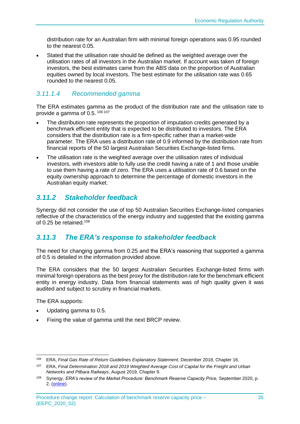distribution rate for an Australian firm with minimal foreign operations was 0.95 rounded to the nearest 0.05.

• Stated that the utilisation rate should be defined as the weighted average over the utilisation rates of all investors in the Australian market. If account was taken of foreign investors, the best estimates came from the ABS data on the proportion of Australian equities owned by local investors. The best estimate for the utilisation rate was 0.65 rounded to the nearest 0.05.

### *3.11.1.4 Recommended gamma*

The ERA estimates gamma as the product of the distribution rate and the utilisation rate to provide a gamma of  $0.5$ .  $106 107$ 

- The distribution rate represents the proportion of imputation credits generated by a benchmark efficient entity that is expected to be distributed to investors. The ERA considers that the distribution rate is a firm-specific rather than a market-wide parameter. The ERA uses a distribution rate of 0.9 informed by the distribution rate from financial reports of the 50 largest Australian Securities Exchange-listed firms.
- The utilisation rate is the weighted average over the utilisation rates of individual investors, with investors able to fully use the credit having a rate of 1 and those unable to use them having a rate of zero. The ERA uses a utilisation rate of 0.6 based on the equity ownership approach to determine the percentage of domestic investors in the Australian equity market.

# <span id="page-40-0"></span>*3.11.2 Stakeholder feedback*

Synergy did not consider the use of top 50 Australian Securities Exchange-listed companies reflective of the characteristics of the energy industry and suggested that the existing gamma of 0.25 be retained.<sup>108</sup>

# <span id="page-40-1"></span>*3.11.3 The ERA's response to stakeholder feedback*

The need for changing gamma from 0.25 and the ERA's reasoning that supported a gamma of 0.5 is detailed in the information provided above.

The ERA considers that the 50 largest Australian Securities Exchange-listed firms with minimal foreign operations as the best proxy for the distribution rate for the benchmark efficient entity in energy industry. Data from financial statements was of high quality given it was audited and subject to scrutiny in financial markets.

The ERA supports:

- Updating gamma to 0.5.
- Fixing the value of gamma until the next BRCP review.

<sup>106</sup> ERA, *Final Gas Rate of Return Guidelines Explanatory Statement*, December 2018, Chapter 16.

<sup>107</sup> ERA, *Final Determination 2018 and 2019 Weighted Average Cost of Capital for the Freight and Urban Networks and Pilbara Railways*, August 2019, Chapter 9.

<sup>108</sup> Synergy, *ERA's review of the Market Procedure: Benchmark Reserve Capacity Price,* September 2020, p. 2, [\(online\)](https://www.erawa.com.au/cproot/21424/2/Synergy-feedback-on-the-BRCP.pdf).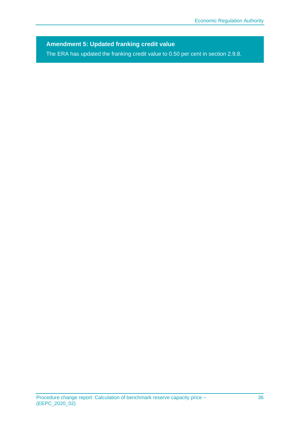**Amendment 5: Updated franking credit value**

The ERA has updated the franking credit value to 0.50 per cent in section 2.9.8.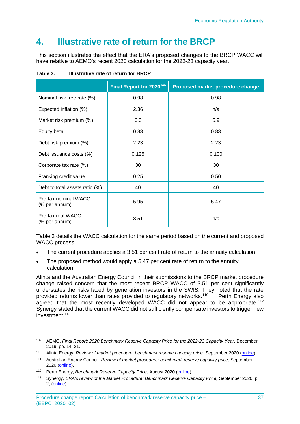# <span id="page-42-0"></span>**4. Illustrative rate of return for the BRCP**

This section illustrates the effect that the ERA's proposed changes to the BRCP WACC will have relative to AEMO's recent 2020 calculation for the 2022-23 capacity year.

|                                       | Final Report for 2020 <sup>109</sup> | Proposed market procedure change |
|---------------------------------------|--------------------------------------|----------------------------------|
| Nominal risk free rate (%)            | 0.98                                 | 0.98                             |
| Expected inflation (%)                | 2.36                                 | n/a                              |
| Market risk premium (%)               | 6.0                                  | 5.9                              |
| Equity beta                           | 0.83                                 | 0.83                             |
| Debt risk premium (%)                 | 2.23                                 | 2.23                             |
| Debt issuance costs (%)               | 0.125                                | 0.100                            |
| Corporate tax rate (%)                | 30                                   | 30                               |
| Franking credit value                 | 0.25                                 | 0.50                             |
| Debt to total assets ratio (%)        | 40                                   | 40                               |
| Pre-tax nominal WACC<br>(% per annum) | 5.95                                 | 5.47                             |
| Pre-tax real WACC<br>(% per annum)    | 3.51                                 | n/a                              |

<span id="page-42-1"></span>**Table 3: Illustrative rate of return for BRCP**

[Table 3](#page-42-1) details the WACC calculation for the same period based on the current and proposed WACC process.

- The current procedure applies a 3.51 per cent rate of return to the annuity calculation.
- The proposed method would apply a 5.47 per cent rate of return to the annuity calculation.

Alinta and the Australian Energy Council in their submissions to the BRCP market procedure change raised concern that the most recent BRCP WACC of 3.51 per cent significantly understates the risks faced by generation investors in the SWIS. They noted that the rate provided returns lower than rates provided to regulatory networks.<sup>110 111</sup> Perth Energy also agreed that the most recently developed WACC did not appear to be appropriate.<sup>112</sup> Synergy stated that the current WACC did not sufficiently compensate investors to trigger new investment.<sup>113</sup>

<sup>109</sup> AEMO, *Final Report: 2020 Benchmark Reserve Capacity Price for the 2022-23 Capacity Year*, December 2019, pp. 14, 21.

<sup>110</sup> Alinta Energy, *Review of market procedure: benchmark reserve capacity price,* September 2020 [\(online\)](https://www.erawa.com.au/cproot/21425/2/Alinta-Energy-submission---ERA-BRCP-Market-Procedure-Review_Redacted.pdf).

<sup>111</sup> Australian Energy Council, *Review of market procedure: benchmark reserve capacity price,* September 2020 [\(online\)](https://www.erawa.com.au/cproot/21423/2/AEC-feedback-on-the-BRCP.pdf).

<sup>112</sup> Perth Energy, *Benchmark Reserve Capacity Price,* August 2020 [\(online\)](https://www.erawa.com.au/cproot/21416/2/2020-Aug-26---Perth-Energy-Submission-on-BRCP_Redacted.pdf).

<sup>113</sup> Synergy, *ERA's review of the Market Procedure: Benchmark Reserve Capacity Price,* September 2020, p. 2, [\(online\)](https://www.erawa.com.au/cproot/21424/2/Synergy-feedback-on-the-BRCP.pdf).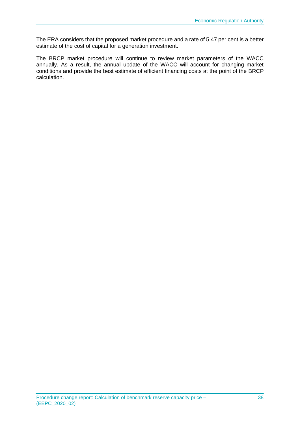The ERA considers that the proposed market procedure and a rate of 5.47 per cent is a better estimate of the cost of capital for a generation investment.

The BRCP market procedure will continue to review market parameters of the WACC annually. As a result, the annual update of the WACC will account for changing market conditions and provide the best estimate of efficient financing costs at the point of the BRCP calculation.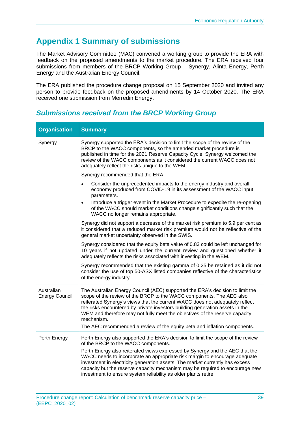# <span id="page-44-0"></span>**Appendix 1 Summary of submissions**

The Market Advisory Committee (MAC) convened a working group to provide the ERA with feedback on the proposed amendments to the market procedure. The ERA received four submissions from members of the BRCP Working Group – Synergy, Alinta Energy, Perth Energy and the Australian Energy Council.

The ERA published the procedure change proposal on 15 September 2020 and invited any person to provide feedback on the proposed amendments by 14 October 2020. The ERA received one submission from Merredin Energy.

| <b>Organisation</b>                 | <b>Summary</b>                                                                                                                                                                                                                                                                                                                                                                                                                                                                                  |
|-------------------------------------|-------------------------------------------------------------------------------------------------------------------------------------------------------------------------------------------------------------------------------------------------------------------------------------------------------------------------------------------------------------------------------------------------------------------------------------------------------------------------------------------------|
| Synergy                             | Synergy supported the ERA's decision to limit the scope of the review of the<br>BRCP to the WACC components, so the amended market procedure is<br>published in time for the 2021 Reserve Capacity Cycle. Synergy welcomed the<br>review of the WACC components as it considered the current WACC does not<br>adequately reflect the risks unique to the WEM.                                                                                                                                   |
|                                     | Synergy recommended that the ERA:                                                                                                                                                                                                                                                                                                                                                                                                                                                               |
|                                     | Consider the unprecedented impacts to the energy industry and overall<br>economy produced from COVID-19 in its assessment of the WACC input<br>parameters.                                                                                                                                                                                                                                                                                                                                      |
|                                     | Introduce a trigger event in the Market Procedure to expedite the re-opening<br>$\bullet$<br>of the WACC should market conditions change significantly such that the<br>WACC no longer remains appropriate.                                                                                                                                                                                                                                                                                     |
|                                     | Synergy did not support a decrease of the market risk premium to 5.9 per cent as<br>it considered that a reduced market risk premium would not be reflective of the<br>general market uncertainty observed in the SWIS.                                                                                                                                                                                                                                                                         |
|                                     | Synergy considered that the equity beta value of 0.83 could be left unchanged for<br>10 years if not updated under the current review and questioned whether it<br>adequately reflects the risks associated with investing in the WEM.                                                                                                                                                                                                                                                          |
|                                     | Synergy recommended that the existing gamma of 0.25 be retained as it did not<br>consider the use of top 50-ASX listed companies reflective of the characteristics<br>of the energy industry.                                                                                                                                                                                                                                                                                                   |
| Australian<br><b>Energy Council</b> | The Australian Energy Council (AEC) supported the ERA's decision to limit the<br>scope of the review of the BRCP to the WACC components. The AEC also<br>reiterated Synergy's views that the current WACC does not adequately reflect<br>the risks encountered by private investors building generation assets in the<br>WEM and therefore may not fully meet the objectives of the reserve capacity<br>mechanism.<br>The AEC recommended a review of the equity beta and inflation components. |
| Perth Energy                        | Perth Energy also supported the ERA's decision to limit the scope of the review<br>of the BRCP to the WACC components.                                                                                                                                                                                                                                                                                                                                                                          |
|                                     | Perth Energy also reiterated views expressed by Synergy and the AEC that the<br>WACC needs to incorporate an appropriate risk margin to encourage adequate<br>investment in electricity generation assets. The market currently has excess<br>capacity but the reserve capacity mechanism may be required to encourage new<br>investment to ensure system reliability as older plants retire.                                                                                                   |

# <span id="page-44-1"></span>*Submissions received from the BRCP Working Group*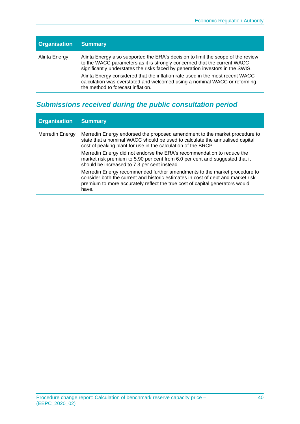| <b>Organisation</b> | <b>Summary</b>                                                                                                                                                                                                                                                                                                                                                                                                                                    |
|---------------------|---------------------------------------------------------------------------------------------------------------------------------------------------------------------------------------------------------------------------------------------------------------------------------------------------------------------------------------------------------------------------------------------------------------------------------------------------|
| Alinta Energy       | Alinta Energy also supported the ERA's decision to limit the scope of the review<br>to the WACC parameters as it is strongly concerned that the current WACC<br>significantly understates the risks faced by generation investors in the SWIS.<br>Alinta Energy considered that the inflation rate used in the most recent WACC<br>calculation was overstated and welcomed using a nominal WACC or reforming<br>the method to forecast inflation. |

# <span id="page-45-0"></span>*Submissions received during the public consultation period*

| <b>Organisation</b> | <b>Summary</b>                                                                                                                                                                                                                                         |
|---------------------|--------------------------------------------------------------------------------------------------------------------------------------------------------------------------------------------------------------------------------------------------------|
| Merredin Energy     | Merredin Energy endorsed the proposed amendment to the market procedure to<br>state that a nominal WACC should be used to calculate the annualised capital<br>cost of peaking plant for use in the calculation of the BRCP.                            |
|                     | Merredin Energy did not endorse the ERA's recommendation to reduce the<br>market risk premium to 5.90 per cent from 6.0 per cent and suggested that it<br>should be increased to 7.3 per cent instead.                                                 |
|                     | Merredin Energy recommended further amendments to the market procedure to<br>consider both the current and historic estimates in cost of debt and market risk<br>premium to more accurately reflect the true cost of capital generators would<br>have. |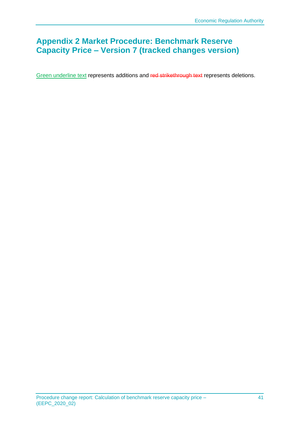# <span id="page-46-0"></span>**Appendix 2 Market Procedure: Benchmark Reserve Capacity Price – Version 7 (tracked changes version)**

Green underline text represents additions and red strikethrough text represents deletions.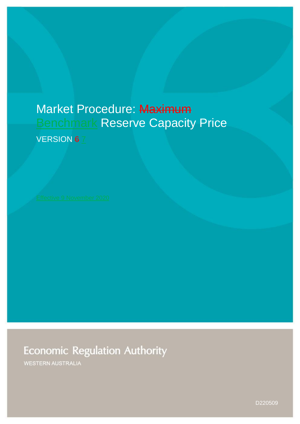# Market Procedure: Maximum **Benchmark Reserve Capacity Price**

VERSION 67

**Economic Regulation Authority** 

WESTERN AUSTRALIA

D220509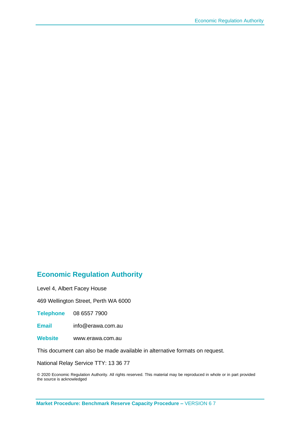# **Economic Regulation Authority**

Level 4, Albert Facey House

469 Wellington Street, Perth WA 6000

**Telephone** 08 6557 7900

**Email** info@erawa.com.au

**Website** www.erawa.com.au

This document can also be made available in alternative formats on request.

National Relay Service TTY: 13 36 77

© 2020 Economic Regulation Authority. All rights reserved. This material may be reproduced in whole or in part provided the source is acknowledged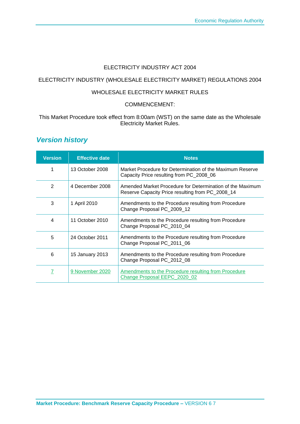#### ELECTRICITY INDUSTRY ACT 2004

#### ELECTRICITY INDUSTRY (WHOLESALE ELECTRICITY MARKET) REGULATIONS 2004

#### WHOLESALE ELECTRICITY MARKET RULES

#### COMMENCEMENT:

#### This Market Procedure took effect from 8:00am (WST) on the same date as the Wholesale Electricity Market Rules.

# *Version history*

| <b>Version</b> | <b>Effective date</b> | <b>Notes</b>                                                                                                  |  |
|----------------|-----------------------|---------------------------------------------------------------------------------------------------------------|--|
| 1              | 13 October 2008       | Market Procedure for Determination of the Maximum Reserve<br>Capacity Price resulting from PC_2008_06         |  |
| $\overline{2}$ | 4 December 2008       | Amended Market Procedure for Determination of the Maximum<br>Reserve Capacity Price resulting from PC_2008_14 |  |
| 3              | 1 April 2010          | Amendments to the Procedure resulting from Procedure<br>Change Proposal PC_2009_12                            |  |
| 4              | 11 October 2010       | Amendments to the Procedure resulting from Procedure<br>Change Proposal PC_2010_04                            |  |
| 5              | 24 October 2011       | Amendments to the Procedure resulting from Procedure<br>Change Proposal PC_2011_06                            |  |
| 6              | 15 January 2013       | Amendments to the Procedure resulting from Procedure<br>Change Proposal PC_2012_08                            |  |
| 7              | 9 November 2020       | Amendments to the Procedure resulting from Procedure<br>Change Proposal EEPC 2020 02                          |  |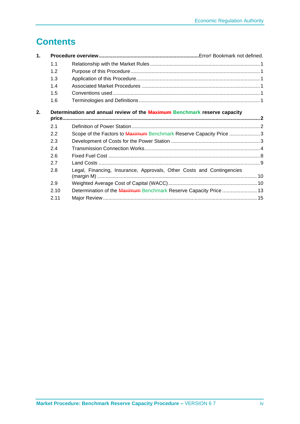# **Contents**

| $\mathbf 1$ . |      |                                                                           |  |
|---------------|------|---------------------------------------------------------------------------|--|
|               | 1.1  |                                                                           |  |
|               | 1.2  |                                                                           |  |
|               | 1.3  |                                                                           |  |
|               | 1.4  |                                                                           |  |
|               | 1.5  |                                                                           |  |
|               | 1.6  |                                                                           |  |
| 2.            |      | Determination and annual review of the Maximum Benchmark reserve capacity |  |
|               | 2.1  |                                                                           |  |
|               | 2.2  | Scope of the Factors to Maximum Benchmark Reserve Capacity Price 3        |  |
|               | 2.3  |                                                                           |  |
|               | 2.4  |                                                                           |  |
|               | 2.6  |                                                                           |  |
|               | 2.7  |                                                                           |  |
|               | 2.8  | Legal, Financing, Insurance, Approvals, Other Costs and Contingencies     |  |
|               | 2.9  |                                                                           |  |
|               | 2.10 | Determination of the Maximum Benchmark Reserve Capacity Price  13         |  |
|               | 2.11 |                                                                           |  |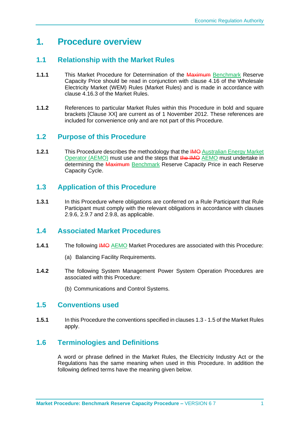# **1. Procedure overview**

# <span id="page-51-0"></span>**1.1 Relationship with the Market Rules**

- **1.1.1** This Market Procedure for Determination of the Maximum Benchmark Reserve Capacity Price should be read in conjunction with clause 4.16 of the Wholesale Electricity Market (WEM) Rules (Market Rules) and is made in accordance with clause 4.16.3 of the Market Rules.
- **1.1.2** References to particular Market Rules within this Procedure in bold and square brackets [Clause XX] are current as of 1 November 2012. These references are included for convenience only and are not part of this Procedure.

### <span id="page-51-1"></span>**1.2 Purpose of this Procedure**

**1.2.1** This Procedure describes the methodology that the IMO Australian Energy Market Operator (AEMO) must use and the steps that the IMO AEMO must undertake in determining the Maximum Benchmark Reserve Capacity Price in each Reserve Capacity Cycle.

### <span id="page-51-2"></span>**1.3 Application of this Procedure**

**1.3.1** In this Procedure where obligations are conferred on a Rule Participant that Rule Participant must comply with the relevant obligations in accordance with clauses 2.9.6, 2.9.7 and 2.9.8, as applicable.

### <span id="page-51-3"></span>**1.4 Associated Market Procedures**

- **1.4.1** The following IMO AEMO Market Procedures are associated with this Procedure:
	- (a) Balancing Facility Requirements.
- **1.4.2** The following System Management Power System Operation Procedures are associated with this Procedure:
	- (b) Communications and Control Systems.

#### <span id="page-51-4"></span>**1.5 Conventions used**

**1.5.1** In this Procedure the conventions specified in clauses 1.3 - 1.5 of the Market Rules apply.

# <span id="page-51-5"></span>**1.6 Terminologies and Definitions**

A word or phrase defined in the Market Rules, the Electricity Industry Act or the Regulations has the same meaning when used in this Procedure. In addition the following defined terms have the meaning given below.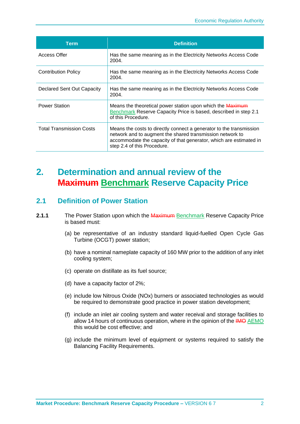| <b>Term</b>                     | <b>Definition</b>                                                                                                                                                                                                                     |  |
|---------------------------------|---------------------------------------------------------------------------------------------------------------------------------------------------------------------------------------------------------------------------------------|--|
| Access Offer                    | Has the same meaning as in the Electricity Networks Access Code<br>2004.                                                                                                                                                              |  |
| <b>Contribution Policy</b>      | Has the same meaning as in the Electricity Networks Access Code<br>2004.                                                                                                                                                              |  |
| Declared Sent Out Capacity      | Has the same meaning as in the Electricity Networks Access Code<br>2004.                                                                                                                                                              |  |
| <b>Power Station</b>            | Means the theoretical power station upon which the Maximum<br>Benchmark Reserve Capacity Price is based, described in step 2.1<br>of this Procedure.                                                                                  |  |
| <b>Total Transmission Costs</b> | Means the costs to directly connect a generator to the transmission<br>network and to augment the shared transmission network to<br>accommodate the capacity of that generator, which are estimated in<br>step 2.4 of this Procedure. |  |

# <span id="page-52-0"></span>**2. Determination and annual review of the Maximum Benchmark Reserve Capacity Price**

#### <span id="page-52-1"></span>**2.1 Definition of Power Station**

- **2.1.1** The Power Station upon which the Maximum Benchmark Reserve Capacity Price is based must:
	- (a) be representative of an industry standard liquid-fuelled Open Cycle Gas Turbine (OCGT) power station;
	- (b) have a nominal nameplate capacity of 160 MW prior to the addition of any inlet cooling system;
	- (c) operate on distillate as its fuel source;
	- (d) have a capacity factor of 2%;
	- (e) include low Nitrous Oxide (NOx) burners or associated technologies as would be required to demonstrate good practice in power station development;
	- (f) include an inlet air cooling system and water receival and storage facilities to allow 14 hours of continuous operation, where in the opinion of the IMO AEMO this would be cost effective; and
	- (g) include the minimum level of equipment or systems required to satisfy the Balancing Facility Requirements.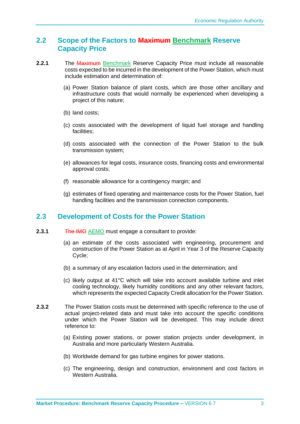#### <span id="page-53-0"></span>**2.2 Scope of the Factors to Maximum Benchmark Reserve Capacity Price**

- **2.2.1** The Maximum Benchmark Reserve Capacity Price must include all reasonable costs expected to be incurred in the development of the Power Station, which must include estimation and determination of:
	- (a) Power Station balance of plant costs, which are those other ancillary and infrastructure costs that would normally be experienced when developing a project of this nature;
	- (b) land costs;
	- (c) costs associated with the development of liquid fuel storage and handling facilities;
	- (d) costs associated with the connection of the Power Station to the bulk transmission system;
	- (e) allowances for legal costs, insurance costs, financing costs and environmental approval costs;
	- (f) reasonable allowance for a contingency margin; and
	- (g) estimates of fixed operating and maintenance costs for the Power Station, fuel handling facilities and the transmission connection components.

### <span id="page-53-1"></span>**2.3 Development of Costs for the Power Station**

- **2.3.1** The IMO AEMO must engage a consultant to provide:
	- (a) an estimate of the costs associated with engineering, procurement and construction of the Power Station as at April in Year 3 of the Reserve Capacity Cycle;
	- (b) a summary of any escalation factors used in the determination; and
	- (c) likely output at 41°C which will take into account available turbine and inlet cooling technology, likely humidity conditions and any other relevant factors, which represents the expected Capacity Credit allocation for the Power Station.
- **2.3.2** The Power Station costs must be determined with specific reference to the use of actual project-related data and must take into account the specific conditions under which the Power Station will be developed. This may include direct reference to:
	- (a) Existing power stations, or power station projects under development, in Australia and more particularly Western Australia.
	- (b) Worldwide demand for gas turbine engines for power stations.
	- (c) The engineering, design and construction, environment and cost factors in Western Australia.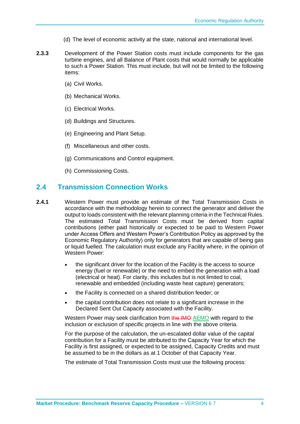- (d) The level of economic activity at the state, national and international level.
- **2.3.3** Development of the Power Station costs must include components for the gas turbine engines, and all Balance of Plant costs that would normally be applicable to such a Power Station. This must include, but will not be limited to the following items:
	- (a) Civil Works.
	- (b) Mechanical Works.
	- (c) Electrical Works.
	- (d) Buildings and Structures.
	- (e) Engineering and Plant Setup.
	- (f) Miscellaneous and other costs.
	- (g) Communications and Control equipment.
	- (h) Commissioning Costs.

#### <span id="page-54-0"></span>**2.4 Transmission Connection Works**

- **2.4.1** Western Power must provide an estimate of the Total Transmission Costs in accordance with the methodology herein to connect the generator and deliver the output to loads consistent with the relevant planning criteria in the Technical Rules. The estimated Total Transmission Costs must be derived from capital contributions (either paid historically or expected to be paid to Western Power under Access Offers and Western Power's Contribution Policy as approved by the Economic Regulatory Authority) only for generators that are capable of being gas or liquid fuelled. The calculation must exclude any Facility where, in the opinion of Western Power:
	- the significant driver for the location of the Facility is the access to source energy (fuel or renewable) or the need to embed the generation with a load (electrical or heat). For clarity, this includes but is not limited to coal, renewable and embedded (including waste heat capture) generators;
	- the Facility is connected on a shared distribution feeder; or
	- the capital contribution does not relate to a significant increase in the Declared Sent Out Capacity associated with the Facility.

Western Power may seek clarification from the IMO AEMO with regard to the inclusion or exclusion of specific projects in line with the above criteria.

For the purpose of the calculation, the un-escalated dollar value of the capital contribution for a Facility must be attributed to the Capacity Year for which the Facility is first assigned, or expected to be assigned, Capacity Credits and must be assumed to be in the dollars as at 1 October of that Capacity Year.

The estimate of Total Transmission Costs must use the following process: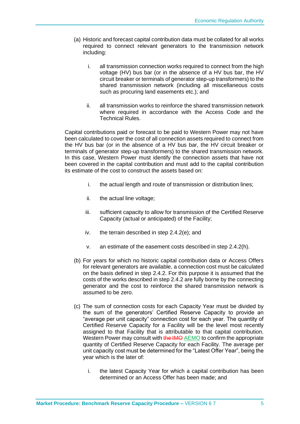- (a) Historic and forecast capital contribution data must be collated for all works required to connect relevant generators to the transmission network including:
	- i. all transmission connection works required to connect from the high voltage (HV) bus bar (or in the absence of a HV bus bar, the HV circuit breaker or terminals of generator step-up transformers) to the shared transmission network (including all miscellaneous costs such as procuring land easements etc.); and
	- ii. all transmission works to reinforce the shared transmission network where required in accordance with the Access Code and the Technical Rules.

Capital contributions paid or forecast to be paid to Western Power may not have been calculated to cover the cost of all connection assets required to connect from the HV bus bar (or in the absence of a HV bus bar, the HV circuit breaker or terminals of generator step-up transformers) to the shared transmission network. In this case, Western Power must identify the connection assets that have not been covered in the capital contribution and must add to the capital contribution its estimate of the cost to construct the assets based on:

- i. the actual length and route of transmission or distribution lines;
- ii. the actual line voltage;
- iii. sufficient capacity to allow for transmission of the Certified Reserve Capacity (actual or anticipated) of the Facility;
- iv. the terrain described in step 2.4.2(e); and
- v. an estimate of the easement costs described in step 2.4.2(h).
- (b) For years for which no historic capital contribution data or Access Offers for relevant generators are available, a connection cost must be calculated on the basis defined in step 2.4.2. For this purpose it is assumed that the costs of the works described in step 2.4.2 are fully borne by the connecting generator and the cost to reinforce the shared transmission network is assumed to be zero.
- (c) The sum of connection costs for each Capacity Year must be divided by the sum of the generators' Certified Reserve Capacity to provide an "average per unit capacity" connection cost for each year. The quantity of Certified Reserve Capacity for a Facility will be the level most recently assigned to that Facility that is attributable to that capital contribution. Western Power may consult with the IMO AEMO to confirm the appropriate quantity of Certified Reserve Capacity for each Facility. The average per unit capacity cost must be determined for the "Latest Offer Year", being the year which is the later of:
	- i. the latest Capacity Year for which a capital contribution has been determined or an Access Offer has been made; and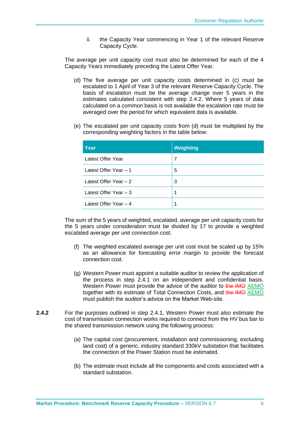ii. the Capacity Year commencing in Year 1 of the relevant Reserve Capacity Cycle.

The average per unit capacity cost must also be determined for each of the 4 Capacity Years immediately preceding the Latest Offer Year.

- (d) The five average per unit capacity costs determined in (c) must be escalated to 1 April of Year 3 of the relevant Reserve Capacity Cycle. The basis of escalation must be the average change over 5 years in the estimates calculated consistent with step 2.4.2. Where 5 years of data calculated on a common basis is not available the escalation rate must be averaged over the period for which equivalent data is available.
- (e) The escalated per unit capacity costs from (d) must be multiplied by the corresponding weighting factors in the table below:

| Year                   | <b>Weighting</b> |
|------------------------|------------------|
| Latest Offer Year      | 7                |
| Latest Offer Year - 1  | 5                |
| Latest Offer Year - 2  | 3                |
| Latest Offer Year $-3$ | 1                |
| Latest Offer Year - 4  | 1                |

The sum of the 5 years of weighted, escalated, average per unit capacity costs for the 5 years under consideration must be divided by 17 to provide a weighted escalated average per unit connection cost.

- (f) The weighted escalated average per unit cost must be scaled up by 15% as an allowance for forecasting error margin to provide the forecast connection cost.
- (g) Western Power must appoint a suitable auditor to review the application of the process in step 2.4.1 on an independent and confidential basis. Western Power must provide the advice of the auditor to the IMO AEMO together with its estimate of Total Connection Costs, and the IMO AEMO must publish the auditor's advice on the Market Web-site.
- **2.4.2** For the purposes outlined in step 2.4.1, Western Power must also estimate the cost of transmission connection works required to connect from the HV bus bar to the shared transmission network using the following process:
	- (a) The capital cost (procurement, installation and commissioning, excluding land cost) of a generic, industry standard 330kV substation that facilitates the connection of the Power Station must be estimated.
	- (b) The estimate must include all the components and costs associated with a standard substation.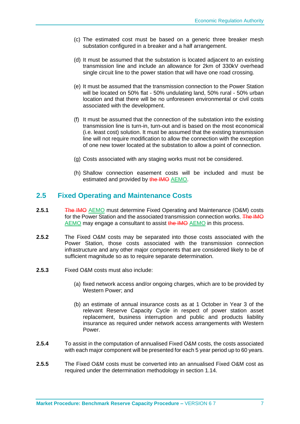- (c) The estimated cost must be based on a generic three breaker mesh substation configured in a breaker and a half arrangement.
- (d) It must be assumed that the substation is located adjacent to an existing transmission line and include an allowance for 2km of 330kV overhead single circuit line to the power station that will have one road crossing.
- (e) It must be assumed that the transmission connection to the Power Station will be located on 50% flat - 50% undulating land, 50% rural - 50% urban location and that there will be no unforeseen environmental or civil costs associated with the development.
- (f) It must be assumed that the connection of the substation into the existing transmission line is turn-in, turn-out and is based on the most economical (i.e. least cost) solution. It must be assumed that the existing transmission line will not require modification to allow the connection with the exception of one new tower located at the substation to allow a point of connection.
- (g) Costs associated with any staging works must not be considered.
- (h) Shallow connection easement costs will be included and must be estimated and provided by the IMO AEMO.

#### **2.5 Fixed Operating and Maintenance Costs**

- **2.5.1** The IMO AEMO must determine Fixed Operating and Maintenance (O&M) costs for the Power Station and the associated transmission connection works. The IMO AEMO may engage a consultant to assist the IMO AEMO in this process.
- **2.5.2** The Fixed O&M costs may be separated into those costs associated with the Power Station, those costs associated with the transmission connection infrastructure and any other major components that are considered likely to be of sufficient magnitude so as to require separate determination.
- **2.5.3** Fixed O&M costs must also include:
	- (a) fixed network access and/or ongoing charges, which are to be provided by Western Power; and
	- (b) an estimate of annual insurance costs as at 1 October in Year 3 of the relevant Reserve Capacity Cycle in respect of power station asset replacement, business interruption and public and products liability insurance as required under network access arrangements with Western Power.
- **2.5.4** To assist in the computation of annualised Fixed O&M costs, the costs associated with each major component will be presented for each 5 year period up to 60 years.
- **2.5.5** The Fixed O&M costs must be converted into an annualised Fixed O&M cost as required under the determination methodology in section 1.14.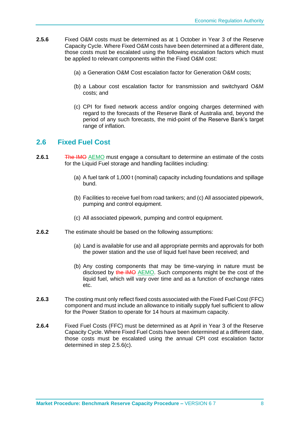- **2.5.6** Fixed O&M costs must be determined as at 1 October in Year 3 of the Reserve Capacity Cycle. Where Fixed O&M costs have been determined at a different date, those costs must be escalated using the following escalation factors which must be applied to relevant components within the Fixed O&M cost:
	- (a) a Generation O&M Cost escalation factor for Generation O&M costs;
	- (b) a Labour cost escalation factor for transmission and switchyard O&M costs; and
	- (c) CPI for fixed network access and/or ongoing charges determined with regard to the forecasts of the Reserve Bank of Australia and, beyond the period of any such forecasts, the mid-point of the Reserve Bank's target range of inflation.

#### <span id="page-58-0"></span>**2.6 Fixed Fuel Cost**

- **2.6.1** The IMO AEMO must engage a consultant to determine an estimate of the costs for the Liquid Fuel storage and handling facilities including:
	- (a) A fuel tank of 1,000 t (nominal) capacity including foundations and spillage bund.
	- (b) Facilities to receive fuel from road tankers; and (c) All associated pipework, pumping and control equipment.
	- (c) All associated pipework, pumping and control equipment.
- **2.6.2** The estimate should be based on the following assumptions:
	- (a) Land is available for use and all appropriate permits and approvals for both the power station and the use of liquid fuel have been received; and
	- (b) Any costing components that may be time-varying in nature must be disclosed by the IMO AEMO. Such components might be the cost of the liquid fuel, which will vary over time and as a function of exchange rates etc.
- **2.6.3** The costing must only reflect fixed costs associated with the Fixed Fuel Cost (FFC) component and must include an allowance to initially supply fuel sufficient to allow for the Power Station to operate for 14 hours at maximum capacity.
- **2.6.4** Fixed Fuel Costs (FFC) must be determined as at April in Year 3 of the Reserve Capacity Cycle. Where Fixed Fuel Costs have been determined at a different date, those costs must be escalated using the annual CPI cost escalation factor determined in step 2.5.6(c).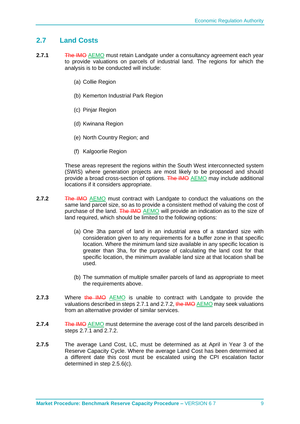#### <span id="page-59-0"></span>**2.7 Land Costs**

- **2.7.1** The IMO AEMO must retain Landgate under a consultancy agreement each year to provide valuations on parcels of industrial land. The regions for which the analysis is to be conducted will include:
	- (a) Collie Region
	- (b) Kemerton Industrial Park Region
	- (c) Pinjar Region
	- (d) Kwinana Region
	- (e) North Country Region; and
	- (f) Kalgoorlie Region

These areas represent the regions within the South West interconnected system (SWIS) where generation projects are most likely to be proposed and should provide a broad cross-section of options. The IMO AEMO may include additional locations if it considers appropriate.

- **2.7.2** The IMO AEMO must contract with Landgate to conduct the valuations on the same land parcel size, so as to provide a consistent method of valuing the cost of purchase of the land. The IMO AEMO will provide an indication as to the size of land required, which should be limited to the following options:
	- (a) One 3ha parcel of land in an industrial area of a standard size with consideration given to any requirements for a buffer zone in that specific location. Where the minimum land size available in any specific location is greater than 3ha, for the purpose of calculating the land cost for that specific location, the minimum available land size at that location shall be used.
	- (b) The summation of multiple smaller parcels of land as appropriate to meet the requirements above.
- **2.7.3** Where the IMO AEMO is unable to contract with Landgate to provide the valuations described in steps 2.7.1 and 2.7.2, the IMO AEMO may seek valuations from an alternative provider of similar services.
- **2.7.4** The IMO AEMO must determine the average cost of the land parcels described in steps 2.7.1 and 2.7.2.
- **2.7.5** The average Land Cost, LC, must be determined as at April in Year 3 of the Reserve Capacity Cycle. Where the average Land Cost has been determined at a different date this cost must be escalated using the CPI escalation factor determined in step 2.5.6(c).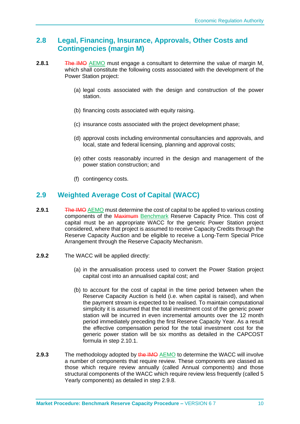### <span id="page-60-0"></span>**2.8 Legal, Financing, Insurance, Approvals, Other Costs and Contingencies (margin M)**

- **2.8.1** The IMO AEMO must engage a consultant to determine the value of margin M, which shall constitute the following costs associated with the development of the Power Station project:
	- (a) legal costs associated with the design and construction of the power station.
	- (b) financing costs associated with equity raising.
	- (c) insurance costs associated with the project development phase;
	- (d) approval costs including environmental consultancies and approvals, and local, state and federal licensing, planning and approval costs;
	- (e) other costs reasonably incurred in the design and management of the power station construction; and
	- (f) contingency costs.

### <span id="page-60-1"></span>**2.9 Weighted Average Cost of Capital (WACC)**

- **2.9.1** The IMO AEMO must determine the cost of capital to be applied to various costing components of the Maximum Benchmark Reserve Capacity Price. This cost of capital must be an appropriate WACC for the generic Power Station project considered, where that project is assumed to receive Capacity Credits through the Reserve Capacity Auction and be eligible to receive a Long-Term Special Price Arrangement through the Reserve Capacity Mechanism.
- **2.9.2** The WACC will be applied directly:
	- (a) in the annualisation process used to convert the Power Station project capital cost into an annualised capital cost; and
	- (b) to account for the cost of capital in the time period between when the Reserve Capacity Auction is held (i.e. when capital is raised), and when the payment stream is expected to be realised. To maintain computational simplicity it is assumed that the total investment cost of the generic power station will be incurred in even incremental amounts over the 12 month period immediately preceding the first Reserve Capacity Year. As a result the effective compensation period for the total investment cost for the generic power station will be six months as detailed in the CAPCOST formula in step 2.10.1.
- **2.9.3** The methodology adopted by the IMO AEMO to determine the WACC will involve a number of components that require review. These components are classed as those which require review annually (called Annual components) and those structural components of the WACC which require review less frequently (called 5 Yearly components) as detailed in step 2.9.8.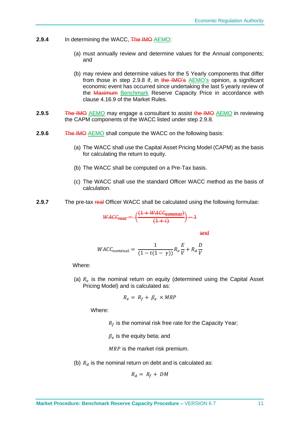- **2.9.4** In determining the WACC, The IMO AEMO:
	- (a) must annually review and determine values for the Annual components; and
	- (b) may review and determine values for the 5 Yearly components that differ from those in step 2.9.8 if, in the IMO's AEMO's opinion, a significant economic event has occurred since undertaking the last 5 yearly review of the Maximum Benchmark Reserve Capacity Price in accordance with clause 4.16.9 of the Market Rules.
- **2.9.5** The IMO AEMO may engage a consultant to assist the IMO AEMO in reviewing the CAPM components of the WACC listed under step 2.9.8.
- **2.9.6** The IMO AEMO shall compute the WACC on the following basis:
	- (a) The WACC shall use the Capital Asset Pricing Model (CAPM) as the basis for calculating the return to equity.
	- (b) The WACC shall be computed on a Pre-Tax basis.
	- (c) The WACC shall use the standard Officer WACC method as the basis of calculation.
- **2.9.7** The pre-tax real Officer WACC shall be calculated using the following formulae:

$$
WACC_{real} = \left(\frac{(1 + WACC_{nominal})}{(1+i)}\right) - 1
$$

and

$$
WACC_{nominal} = \frac{1}{(1 - t(1 - \gamma))} R_e \frac{E}{V} + R_d \frac{D}{V}
$$

Where:

(a)  $R_e$  is the nominal return on equity (determined using the Capital Asset Pricing Model) and is calculated as:

$$
R_e = R_f + \beta_e \times MRP
$$

Where:

 $R_f$  is the nominal risk free rate for the Capacity Year;

 $\beta_e$  is the equity beta; and

 $MRP$  is the market risk premium.

(b)  $R_d$  is the nominal return on debt and is calculated as:

$$
R_d = R_f + DM
$$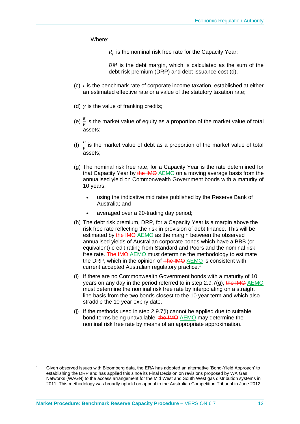Where:

 $R_f$  is the nominal risk free rate for the Capacity Year;

 $DM$  is the debt margin, which is calculated as the sum of the debt risk premium (DRP) and debt issuance cost (d).

- $(c)$  t is the benchmark rate of corporate income taxation, established at either an estimated effective rate or a value of the statutory taxation rate;
- (d)  $\gamma$  is the value of franking credits;
- (e)  $\frac{E}{V}$  is the market value of equity as a proportion of the market value of total assets;
- (f)  $\frac{D}{V}$  is the market value of debt as a proportion of the market value of total assets;
- (g) The nominal risk free rate, for a Capacity Year is the rate determined for that Capacity Year by the IMO AEMO on a moving average basis from the annualised yield on Commonwealth Government bonds with a maturity of 10 years:
	- using the indicative mid rates published by the Reserve Bank of Australia; and
	- averaged over a 20-trading day period;
- (h) The debt risk premium, DRP, for a Capacity Year is a margin above the risk free rate reflecting the risk in provision of debt finance. This will be estimated by the IMO AEMO as the margin between the observed annualised yields of Australian corporate bonds which have a BBB (or equivalent) credit rating from Standard and Poors and the nominal risk free rate. The IMO AEMO must determine the methodology to estimate the DRP, which in the opinion of The IMO AEMO is consistent with current accepted Australian regulatory practice.<sup>1</sup>
- (i) If there are no Commonwealth Government bonds with a maturity of 10 years on any day in the period referred to in step  $2.9.7(q)$ , the IMO AEMO must determine the nominal risk free rate by interpolating on a straight line basis from the two bonds closest to the 10 year term and which also straddle the 10 year expiry date.
- (j) If the methods used in step 2.9.7(i) cannot be applied due to suitable bond terms being unavailable, the IMO AEMO may determine the nominal risk free rate by means of an appropriate approximation.

Given observed issues with Bloomberg data, the ERA has adopted an alternative 'Bond-Yield Approach' to establishing the DRP and has applied this since its Final Decision on revisions proposed by WA Gas Networks (WAGN) to the access arrangement for the Mid West and South West gas distribution systems in 2011. This methodology was broadly upheld on appeal to the Australian Competition Tribunal in June 2012.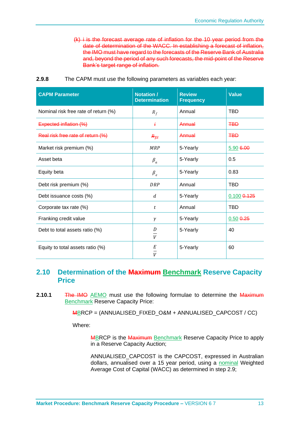(k) i is the forecast average rate of inflation for the 10 year period from the date of determination of the WACC. In establishing a forecast of inflation, the IMO must have regard to the forecasts of the Reserve Bank of Australia and, beyond the period of any such forecasts, the mid-point of the Reserve Bank's target range of inflation.

| <b>CAPM Parameter</b>                | Notation /<br><b>Determination</b> | <b>Review</b><br><b>Frequency</b> | <b>Value</b>    |
|--------------------------------------|------------------------------------|-----------------------------------|-----------------|
| Nominal risk free rate of return (%) | $R_f$                              | Annual                            | <b>TBD</b>      |
| Expected inflation (%)               | ŧ                                  | Annual                            | <b>TBD</b>      |
| Real risk free rate of return (%)    | $R_{\overline{f}\overline{f}}$     | Annual                            | <b>TBD</b>      |
| Market risk premium (%)              | <b>MRP</b>                         | 5-Yearly                          | 5.90 6.00       |
| Asset beta                           | $\beta_a$                          | 5-Yearly                          | 0.5             |
| Equity beta                          | $\beta_e$                          | 5-Yearly                          | 0.83            |
| Debt risk premium (%)                | <b>DRP</b>                         | Annual                            | <b>TBD</b>      |
| Debt issuance costs (%)              | d                                  | 5-Yearly                          | $0.100$ $0.125$ |
| Corporate tax rate (%)               | t                                  | Annual                            | <b>TBD</b>      |
| Franking credit value                | $\gamma$                           | 5-Yearly                          | $0.50$ $0.25$   |
| Debt to total assets ratio (%)       | D<br>V                             | 5-Yearly                          | 40              |
| Equity to total assets ratio (%)     | Е<br>V                             | 5-Yearly                          | 60              |

**2.9.8** The CAPM must use the following parameters as variables each year:

#### <span id="page-63-0"></span>**2.10 Determination of the Maximum Benchmark Reserve Capacity Price**

**2.10.1** The IMO AEMO must use the following formulae to determine the Maximum Benchmark Reserve Capacity Price:

MBRCP = (ANNUALISED\_FIXED\_O&M + ANNUALISED\_CAPCOST / CC)

Where:

MBRCP is the Maximum Benchmark Reserve Capacity Price to apply in a Reserve Capacity Auction;

ANNUALISED\_CAPCOST is the CAPCOST, expressed in Australian dollars, annualised over a 15 year period, using a nominal Weighted Average Cost of Capital (WACC) as determined in step 2.9;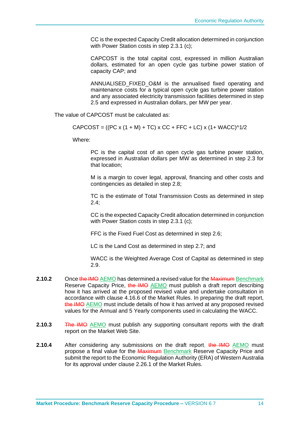CC is the expected Capacity Credit allocation determined in conjunction with Power Station costs in step 2.3.1 (c);

CAPCOST is the total capital cost, expressed in million Australian dollars, estimated for an open cycle gas turbine power station of capacity CAP; and

ANNUALISED\_FIXED\_O&M is the annualised fixed operating and maintenance costs for a typical open cycle gas turbine power station and any associated electricity transmission facilities determined in step 2.5 and expressed in Australian dollars, per MW per year.

The value of CAPCOST must be calculated as:

 $CAPCOST = ((PC x (1 + M) + TC) x CC + FFC + LC) x (1 + WACC)^{1/2}$ 

Where:

PC is the capital cost of an open cycle gas turbine power station, expressed in Australian dollars per MW as determined in step 2.3 for that location;

M is a margin to cover legal, approval, financing and other costs and contingencies as detailed in step 2.8;

TC is the estimate of Total Transmission Costs as determined in step 2.4;

CC is the expected Capacity Credit allocation determined in conjunction with Power Station costs in step 2.3.1 (c);

FFC is the Fixed Fuel Cost as determined in step 2.6;

LC is the Land Cost as determined in step 2.7; and

WACC is the Weighted Average Cost of Capital as determined in step 2.9.

- **2.10.2** Once the IMO AEMO has determined a revised value for the Maximum Benchmark Reserve Capacity Price, the IMO AEMO must publish a draft report describing how it has arrived at the proposed revised value and undertake consultation in accordance with clause 4.16.6 of the Market Rules. In preparing the draft report, the IMO AEMO must include details of how it has arrived at any proposed revised values for the Annual and 5 Yearly components used in calculating the WACC.
- **2.10.3** The IMO AEMO must publish any supporting consultant reports with the draft report on the Market Web Site.
- **2.10.4** After considering any submissions on the draft report, the IMO AEMO must propose a final value for the Maximum Benchmark Reserve Capacity Price and submit the report to the Economic Regulation Authority (ERA) of Western Australia for its approval under clause 2.26.1 of the Market Rules.